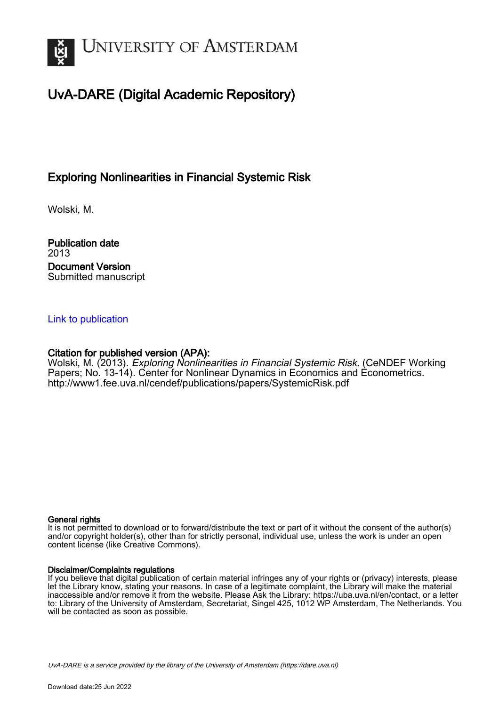

# UvA-DARE (Digital Academic Repository)

# Exploring Nonlinearities in Financial Systemic Risk

Wolski, M.

Publication date 2013 Document Version Submitted manuscript

### [Link to publication](https://dare.uva.nl/personal/pure/en/publications/exploring-nonlinearities-in-financial-systemic-risk(e818a0b9-78bb-4290-917d-0532f88ad45e).html)

## Citation for published version (APA):

Wolski, M. (2013). Exploring Nonlinearities in Financial Systemic Risk. (CeNDEF Working Papers; No. 13-14). Center for Nonlinear Dynamics in Economics and Econometrics. <http://www1.fee.uva.nl/cendef/publications/papers/SystemicRisk.pdf>

#### General rights

It is not permitted to download or to forward/distribute the text or part of it without the consent of the author(s) and/or copyright holder(s), other than for strictly personal, individual use, unless the work is under an open content license (like Creative Commons).

#### Disclaimer/Complaints regulations

If you believe that digital publication of certain material infringes any of your rights or (privacy) interests, please let the Library know, stating your reasons. In case of a legitimate complaint, the Library will make the material inaccessible and/or remove it from the website. Please Ask the Library: https://uba.uva.nl/en/contact, or a letter to: Library of the University of Amsterdam, Secretariat, Singel 425, 1012 WP Amsterdam, The Netherlands. You will be contacted as soon as possible.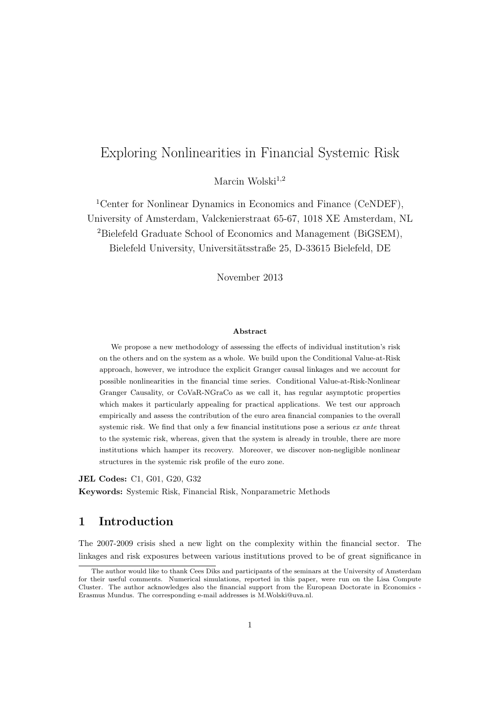# Exploring Nonlinearities in Financial Systemic Risk

Marcin Wolski $^{1,2}$ 

<sup>1</sup>Center for Nonlinear Dynamics in Economics and Finance (CeNDEF), University of Amsterdam, Valckenierstraat 65-67, 1018 XE Amsterdam, NL <sup>2</sup>Bielefeld Graduate School of Economics and Management (BiGSEM), Bielefeld University, Universitätsstraße 25, D-33615 Bielefeld, DE

November 2013

#### Abstract

We propose a new methodology of assessing the effects of individual institution's risk on the others and on the system as a whole. We build upon the Conditional Value-at-Risk approach, however, we introduce the explicit Granger causal linkages and we account for possible nonlinearities in the financial time series. Conditional Value-at-Risk-Nonlinear Granger Causality, or CoVaR-NGraCo as we call it, has regular asymptotic properties which makes it particularly appealing for practical applications. We test our approach empirically and assess the contribution of the euro area financial companies to the overall systemic risk. We find that only a few financial institutions pose a serious ex ante threat to the systemic risk, whereas, given that the system is already in trouble, there are more institutions which hamper its recovery. Moreover, we discover non-negligible nonlinear structures in the systemic risk profile of the euro zone.

JEL Codes: C1, G01, G20, G32

Keywords: Systemic Risk, Financial Risk, Nonparametric Methods

### 1 Introduction

The 2007-2009 crisis shed a new light on the complexity within the financial sector. The linkages and risk exposures between various institutions proved to be of great significance in

The author would like to thank Cees Diks and participants of the seminars at the University of Amsterdam for their useful comments. Numerical simulations, reported in this paper, were run on the Lisa Compute Cluster. The author acknowledges also the financial support from the European Doctorate in Economics - Erasmus Mundus. The corresponding e-mail addresses is M.Wolski@uva.nl.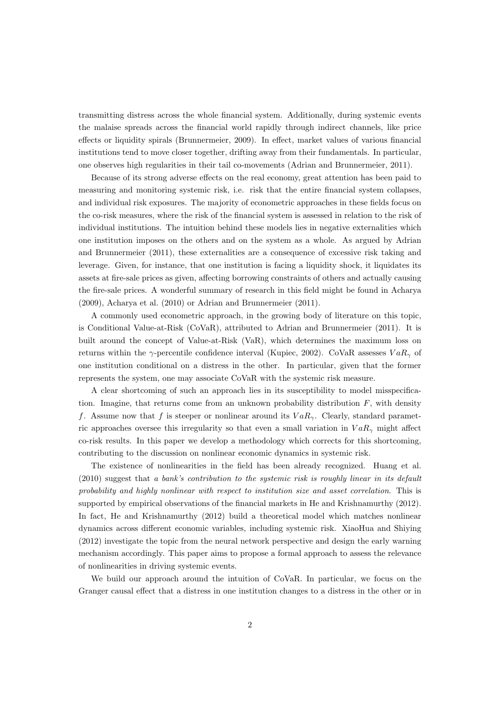transmitting distress across the whole financial system. Additionally, during systemic events the malaise spreads across the financial world rapidly through indirect channels, like price effects or liquidity spirals (Brunnermeier, 2009). In effect, market values of various financial institutions tend to move closer together, drifting away from their fundamentals. In particular, one observes high regularities in their tail co-movements (Adrian and Brunnermeier, 2011).

Because of its strong adverse effects on the real economy, great attention has been paid to measuring and monitoring systemic risk, i.e. risk that the entire financial system collapses, and individual risk exposures. The majority of econometric approaches in these fields focus on the co-risk measures, where the risk of the financial system is assessed in relation to the risk of individual institutions. The intuition behind these models lies in negative externalities which one institution imposes on the others and on the system as a whole. As argued by Adrian and Brunnermeier (2011), these externalities are a consequence of excessive risk taking and leverage. Given, for instance, that one institution is facing a liquidity shock, it liquidates its assets at fire-sale prices as given, affecting borrowing constraints of others and actually causing the fire-sale prices. A wonderful summary of research in this field might be found in Acharya (2009), Acharya et al. (2010) or Adrian and Brunnermeier (2011).

A commonly used econometric approach, in the growing body of literature on this topic, is Conditional Value-at-Risk (CoVaR), attributed to Adrian and Brunnermeier (2011). It is built around the concept of Value-at-Risk (VaR), which determines the maximum loss on returns within the  $\gamma$ -percentile confidence interval (Kupiec, 2002). CoVaR assesses  $VaR_{\gamma}$  of one institution conditional on a distress in the other. In particular, given that the former represents the system, one may associate CoVaR with the systemic risk measure.

A clear shortcoming of such an approach lies in its susceptibility to model misspecification. Imagine, that returns come from an unknown probability distribution  $F$ , with density f. Assume now that f is steeper or nonlinear around its  $VaR_{\gamma}$ . Clearly, standard parametric approaches oversee this irregularity so that even a small variation in  $VaR_{\gamma}$  might affect co-risk results. In this paper we develop a methodology which corrects for this shortcoming, contributing to the discussion on nonlinear economic dynamics in systemic risk.

The existence of nonlinearities in the field has been already recognized. Huang et al. (2010) suggest that a bank's contribution to the systemic risk is roughly linear in its default probability and highly nonlinear with respect to institution size and asset correlation. This is supported by empirical observations of the financial markets in He and Krishnamurthy (2012). In fact, He and Krishnamurthy (2012) build a theoretical model which matches nonlinear dynamics across different economic variables, including systemic risk. XiaoHua and Shiying (2012) investigate the topic from the neural network perspective and design the early warning mechanism accordingly. This paper aims to propose a formal approach to assess the relevance of nonlinearities in driving systemic events.

We build our approach around the intuition of CoVaR. In particular, we focus on the Granger causal effect that a distress in one institution changes to a distress in the other or in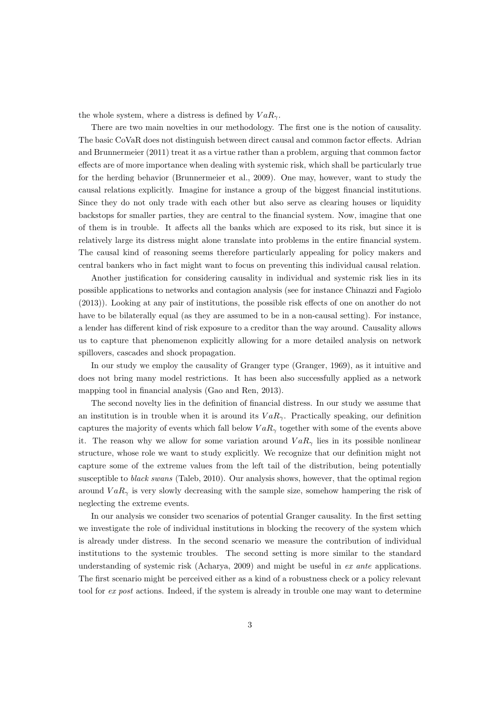the whole system, where a distress is defined by  $VaR_{\gamma}$ .

There are two main novelties in our methodology. The first one is the notion of causality. The basic CoVaR does not distinguish between direct causal and common factor effects. Adrian and Brunnermeier (2011) treat it as a virtue rather than a problem, arguing that common factor effects are of more importance when dealing with systemic risk, which shall be particularly true for the herding behavior (Brunnermeier et al., 2009). One may, however, want to study the causal relations explicitly. Imagine for instance a group of the biggest financial institutions. Since they do not only trade with each other but also serve as clearing houses or liquidity backstops for smaller parties, they are central to the financial system. Now, imagine that one of them is in trouble. It affects all the banks which are exposed to its risk, but since it is relatively large its distress might alone translate into problems in the entire financial system. The causal kind of reasoning seems therefore particularly appealing for policy makers and central bankers who in fact might want to focus on preventing this individual causal relation.

Another justification for considering causality in individual and systemic risk lies in its possible applications to networks and contagion analysis (see for instance Chinazzi and Fagiolo (2013)). Looking at any pair of institutions, the possible risk effects of one on another do not have to be bilaterally equal (as they are assumed to be in a non-causal setting). For instance, a lender has different kind of risk exposure to a creditor than the way around. Causality allows us to capture that phenomenon explicitly allowing for a more detailed analysis on network spillovers, cascades and shock propagation.

In our study we employ the causality of Granger type (Granger, 1969), as it intuitive and does not bring many model restrictions. It has been also successfully applied as a network mapping tool in financial analysis (Gao and Ren, 2013).

The second novelty lies in the definition of financial distress. In our study we assume that an institution is in trouble when it is around its  $VaR_{\gamma}$ . Practically speaking, our definition captures the majority of events which fall below  $VaR_{\gamma}$  together with some of the events above it. The reason why we allow for some variation around  $VaR_{\gamma}$  lies in its possible nonlinear structure, whose role we want to study explicitly. We recognize that our definition might not capture some of the extreme values from the left tail of the distribution, being potentially susceptible to *black swans* (Taleb, 2010). Our analysis shows, however, that the optimal region around  $VaR_{\gamma}$  is very slowly decreasing with the sample size, somehow hampering the risk of neglecting the extreme events.

In our analysis we consider two scenarios of potential Granger causality. In the first setting we investigate the role of individual institutions in blocking the recovery of the system which is already under distress. In the second scenario we measure the contribution of individual institutions to the systemic troubles. The second setting is more similar to the standard understanding of systemic risk (Acharya, 2009) and might be useful in ex ante applications. The first scenario might be perceived either as a kind of a robustness check or a policy relevant tool for ex post actions. Indeed, if the system is already in trouble one may want to determine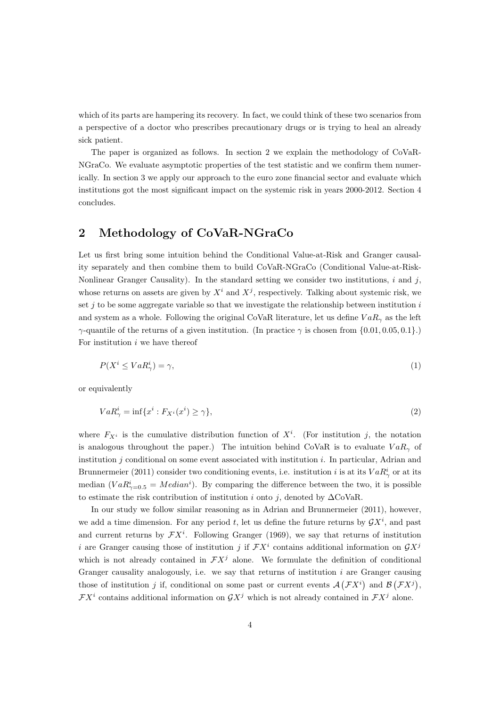which of its parts are hampering its recovery. In fact, we could think of these two scenarios from a perspective of a doctor who prescribes precautionary drugs or is trying to heal an already sick patient.

The paper is organized as follows. In section 2 we explain the methodology of CoVaR-NGraCo. We evaluate asymptotic properties of the test statistic and we confirm them numerically. In section 3 we apply our approach to the euro zone financial sector and evaluate which institutions got the most significant impact on the systemic risk in years 2000-2012. Section 4 concludes.

## 2 Methodology of CoVaR-NGraCo

Let us first bring some intuition behind the Conditional Value-at-Risk and Granger causality separately and then combine them to build CoVaR-NGraCo (Conditional Value-at-Risk-Nonlinear Granger Causality). In the standard setting we consider two institutions,  $i$  and  $j$ , whose returns on assets are given by  $X^i$  and  $X^j$ , respectively. Talking about systemic risk, we set  $j$  to be some aggregate variable so that we investigate the relationship between institution  $i$ and system as a whole. Following the original CoVaR literature, let us define  $VaR_{\gamma}$  as the left  $γ$ -quantile of the returns of a given institution. (In practice  $γ$  is chosen from  $\{0.01, 0.05, 0.1\}$ .) For institution  $i$  we have thereof

$$
P(X^i \le VaR^i_\gamma) = \gamma,\tag{1}
$$

or equivalently

$$
VaR^i_\gamma = \inf \{ x^i : F_{X^i}(x^i) \ge \gamma \},\tag{2}
$$

where  $F_{X_i}$  is the cumulative distribution function of  $X_i$ . (For institution j, the notation is analogous throughout the paper.) The intuition behind CoVaR is to evaluate  $VaR_{\gamma}$  of institution  $j$  conditional on some event associated with institution  $i$ . In particular, Adrian and Brunnermeier (2011) consider two conditioning events, i.e. institution i is at its  $VaR^i_\gamma$  or at its median  $(VaR^{i}_{\gamma=0.5} = Median^{i})$ . By comparing the difference between the two, it is possible to estimate the risk contribution of institution i onto j, denoted by  $\Delta$ CoVaR.

In our study we follow similar reasoning as in Adrian and Brunnermeier (2011), however, we add a time dimension. For any period t, let us define the future returns by  $\mathcal{G}X^i$ , and past and current returns by  $\mathcal{F}X^i$ . Following Granger (1969), we say that returns of institution i are Granger causing those of institution j if  $\mathcal{F}X^i$  contains additional information on  $\mathcal{G}X^j$ which is not already contained in  $\mathcal{F}X^j$  alone. We formulate the definition of conditional Granger causality analogously, i.e. we say that returns of institution  $i$  are Granger causing those of institution j if, conditional on some past or current events  $\mathcal{A}(\mathcal{F}X^i)$  and  $\mathcal{B}(\mathcal{F}X^j)$ ,  $\mathcal{F}X^i$  contains additional information on  $\mathcal{G}X^j$  which is not already contained in  $\mathcal{F}X^j$  alone.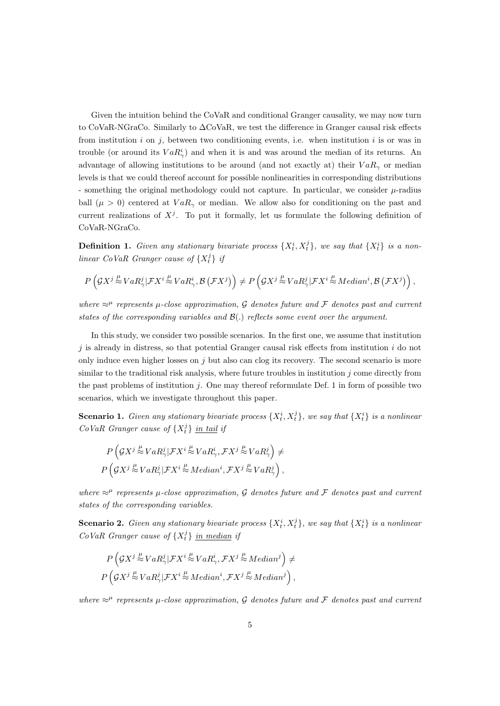Given the intuition behind the CoVaR and conditional Granger causality, we may now turn to CoVaR-NGraCo. Similarly to ∆CoVaR, we test the difference in Granger causal risk effects from institution i on j, between two conditioning events, i.e. when institution i is or was in trouble (or around its  $VaR^i_\gamma$ ) and when it is and was around the median of its returns. An advantage of allowing institutions to be around (and not exactly at) their  $VaR<sub>\gamma</sub>$  or median levels is that we could thereof account for possible nonlinearities in corresponding distributions - something the original methodology could not capture. In particular, we consider  $\mu$ -radius ball ( $\mu > 0$ ) centered at  $VaR_{\gamma}$  or median. We allow also for conditioning on the past and current realizations of  $X^j$ . To put it formally, let us formulate the following definition of CoVaR-NGraCo.

**Definition 1.** Given any stationary bivariate process  $\{X_t^i, X_t^j\}$ , we say that  $\{X_t^i\}$  is a nonlinear CoVaR Granger cause of  $\{X_t^j\}$  if

$$
P\left(\mathcal{G}X^j \stackrel{\mu}{\approx} VaR_{\gamma}^j|\mathcal{F}X^i \stackrel{\mu}{\approx} VaR_{\gamma}^i, \mathcal{B}\left(\mathcal{F}X^j\right)\right) \neq P\left(\mathcal{G}X^j \stackrel{\mu}{\approx} VaR_{\gamma}^j|\mathcal{F}X^i \stackrel{\mu}{\approx} Median^i, \mathcal{B}\left(\mathcal{F}X^j\right)\right),
$$

where  $\approx^{\mu}$  represents  $\mu$ -close approximation, G denotes future and F denotes past and current states of the corresponding variables and  $\mathcal{B}(.)$  reflects some event over the argument.

In this study, we consider two possible scenarios. In the first one, we assume that institution  $j$  is already in distress, so that potential Granger causal risk effects from institution  $i$  do not only induce even higher losses on  $j$  but also can clog its recovery. The second scenario is more similar to the traditional risk analysis, where future troubles in institution  $j$  come directly from the past problems of institution  $j$ . One may thereof reformulate Def. 1 in form of possible two scenarios, which we investigate throughout this paper.

**Scenario 1.** Given any stationary bivariate process  $\{X_t^i, X_t^j\}$ , we say that  $\{X_t^i\}$  is a nonlinear  $CoVaR$  Granger cause of  $\{X_t^j\}$  in tail if

$$
P\left(\mathcal{G}X^j \stackrel{\mu}{\approx} VaR_{\gamma}^j|\mathcal{F}X^i \stackrel{\mu}{\approx} VaR_{\gamma}^i, \mathcal{F}X^j \stackrel{\mu}{\approx} VaR_{\gamma}^j\right) \neq
$$
  

$$
P\left(\mathcal{G}X^j \stackrel{\mu}{\approx} VaR_{\gamma}^j|\mathcal{F}X^i \stackrel{\mu}{\approx} Median^i, \mathcal{F}X^j \stackrel{\mu}{\approx} VaR_{\gamma}^j\right),
$$

where  $\approx^{\mu}$  represents  $\mu$ -close approximation, G denotes future and F denotes past and current states of the corresponding variables.

**Scenario 2.** Given any stationary bivariate process  $\{X_t^i, X_t^j\}$ , we say that  $\{X_t^i\}$  is a nonlinear  $CoVaR$  Granger cause of  $\{X_t^j\}$  in median if

$$
P\left(\mathcal{G}X^j \stackrel{\mu}{\approx} VaR_{\gamma}^j|\mathcal{F}X^i \stackrel{\mu}{\approx} VaR_{\gamma}^i, \mathcal{F}X^j \stackrel{\mu}{\approx} Median^j\right) \neq
$$
  

$$
P\left(\mathcal{G}X^j \stackrel{\mu}{\approx} VaR_{\gamma}^j|\mathcal{F}X^i \stackrel{\mu}{\approx} Median^i, \mathcal{F}X^j \stackrel{\mu}{\approx} Median^j\right),
$$

where  $\approx^{\mu}$  represents  $\mu$ -close approximation, G denotes future and F denotes past and current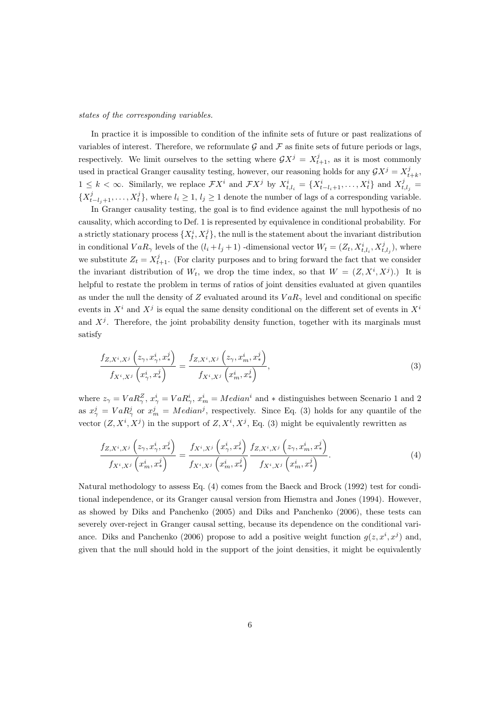states of the corresponding variables.

In practice it is impossible to condition of the infinite sets of future or past realizations of variables of interest. Therefore, we reformulate  $\mathcal G$  and  $\mathcal F$  as finite sets of future periods or lags, respectively. We limit ourselves to the setting where  $\mathcal{G}X^j = X^j_{t+1}$ , as it is most commonly used in practical Granger causality testing, however, our reasoning holds for any  $\mathcal{G}X^j = X^j_{t+k}$ ,  $1 \leq k < \infty$ . Similarly, we replace  $\mathcal{F}X^i$  and  $\mathcal{F}X^j$  by  $X^i_{t,l_i} = \{X^i_{t-l_i+1}, \ldots, X^i_t\}$  and  $X^j_{t,l_j} =$  $\{X_{t-l_j+1}^j, \ldots, X_t^j\}$ , where  $l_i \geq 1, l_j \geq 1$  denote the number of lags of a corresponding variable.

In Granger causality testing, the goal is to find evidence against the null hypothesis of no causality, which according to Def. 1 is represented by equivalence in conditional probability. For a strictly stationary process  $\{X_t^i, X_t^j\}$ , the null is the statement about the invariant distribution in conditional  $VaR_{\gamma}$  levels of the  $(l_i + l_j + 1)$  -dimensional vector  $W_t = (Z_t, X_{t, l_i}^i, X_{t, l_j}^j)$ , where we substitute  $Z_t = X_{t+1}^j$ . (For clarity purposes and to bring forward the fact that we consider the invariant distribution of  $W_t$ , we drop the time index, so that  $W = (Z, X^i, X^j)$ . It is helpful to restate the problem in terms of ratios of joint densities evaluated at given quantiles as under the null the density of Z evaluated around its  $VaR_{\gamma}$  level and conditional on specific events in  $X^i$  and  $X^j$  is equal the same density conditional on the different set of events in  $X^i$ and  $X^{j}$ . Therefore, the joint probability density function, together with its marginals must satisfy

$$
\frac{f_{Z,X^i,X^j}\left(z_{\gamma},x_{\gamma}^i,x_{\gamma}^j\right)}{f_{X^i,X^j}\left(x_{\gamma}^i,x_{\gamma}^j\right)}=\frac{f_{Z,X^i,X^j}\left(z_{\gamma},x_m^i,x_{\gamma}^j\right)}{f_{X^i,X^j}\left(x_m^i,x_{\gamma}^j\right)},\tag{3}
$$

where  $z_{\gamma} = VaR_{\gamma}^{Z}$ ,  $x_{\gamma}^{i} = VaR_{\gamma}^{i}$ ,  $x_{m}^{i} = Median^{i}$  and  $*$  distinguishes between Scenario 1 and 2 as  $x_{\gamma}^{j} = VaR_{\gamma}^{j}$  or  $x_{m}^{j} = Median^{j}$ , respectively. Since Eq. (3) holds for any quantile of the vector  $(Z, X^i, X^j)$  in the support of  $Z, X^i, X^j$ , Eq. (3) might be equivalently rewritten as

$$
\frac{f_{Z,X^i,X^j}\left(z_{\gamma},x_{\gamma}^i,x_{\gamma}^j\right)}{f_{X^i,X^j}\left(x_m^i,x_{\gamma}^j\right)}=\frac{f_{X^i,X^j}\left(x_{\gamma}^i,x_{\gamma}^j\right)}{f_{X^i,X^j}\left(x_m^i,x_{\gamma}^j\right)}\frac{f_{Z,X^i,X^j}\left(z_{\gamma},x_m^i,x_{\gamma}^j\right)}{f_{X^i,X^j}\left(x_m^i,x_{\gamma}^j\right)}.\tag{4}
$$

Natural methodology to assess Eq. (4) comes from the Baeck and Brock (1992) test for conditional independence, or its Granger causal version from Hiemstra and Jones (1994). However, as showed by Diks and Panchenko (2005) and Diks and Panchenko (2006), these tests can severely over-reject in Granger causal setting, because its dependence on the conditional variance. Diks and Panchenko (2006) propose to add a positive weight function  $g(z, x^i, x^j)$  and, given that the null should hold in the support of the joint densities, it might be equivalently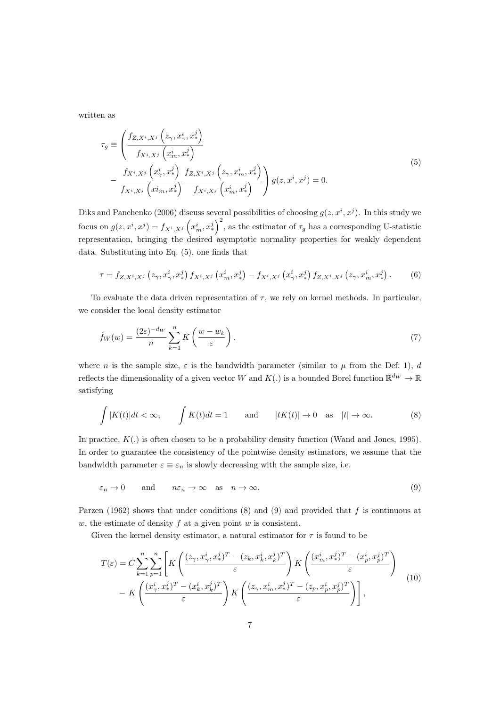written as

$$
\tau_g \equiv \left( \frac{f_{Z,X^i,X^j} \left( z_\gamma, x_\gamma^i, x_\gamma^j \right)}{f_{X^i,X^j} \left( x_{m}^i, x_\gamma^j \right)} - \frac{f_{X^i,X^j} \left( x_{\gamma}^i, x_\gamma^j \right)}{f_{X^i,X^j} \left( x_{m}^i, x_\gamma^j \right)} \frac{f_{Z,X^i,X^j} \left( z_\gamma, x_m^i, x_\gamma^j \right)}{f_{X^i,X^j} \left( x_m^i, x_\gamma^j \right)} \right) g(z, x^i, x^j) = 0.
$$
\n(5)

Diks and Panchenko (2006) discuss several possibilities of choosing  $g(z, x^i, x^j)$ . In this study we focus on  $g(z, x^i, x^j) = f_{X^i, X^j}(\overline{x_m^i}, x_*^j)^2$ , as the estimator of  $\tau_g$  has a corresponding U-statistic representation, bringing the desired asymptotic normality properties for weakly dependent data. Substituting into Eq. (5), one finds that

$$
\tau = f_{Z,X^i,X^j} \left( z_{\gamma}, x_{\gamma}^i, x_{\gamma}^j \right) f_{X^i,X^j} \left( x_m^i, x_{\gamma}^j \right) - f_{X^i,X^j} \left( x_{\gamma}^i, x_{\gamma}^j \right) f_{Z,X^i,X^j} \left( z_{\gamma}, x_m^i, x_{\gamma}^j \right). \tag{6}
$$

To evaluate the data driven representation of  $\tau$ , we rely on kernel methods. In particular, we consider the local density estimator

$$
\hat{f}_W(w) = \frac{(2\varepsilon)^{-d_W}}{n} \sum_{k=1}^n K\left(\frac{w - w_k}{\varepsilon}\right),\tag{7}
$$

where n is the sample size,  $\varepsilon$  is the bandwidth parameter (similar to  $\mu$  from the Def. 1), d reflects the dimensionality of a given vector W and  $K(.)$  is a bounded Borel function  $\mathbb{R}^{d_W} \to \mathbb{R}$ satisfying

$$
\int |K(t)|dt < \infty, \qquad \int K(t)dt = 1 \qquad \text{and} \qquad |tK(t)| \to 0 \quad \text{as} \quad |t| \to \infty. \tag{8}
$$

In practice,  $K(.)$  is often chosen to be a probability density function (Wand and Jones, 1995). In order to guarantee the consistency of the pointwise density estimators, we assume that the bandwidth parameter  $\varepsilon \equiv \varepsilon_n$  is slowly decreasing with the sample size, i.e.

$$
\varepsilon_n \to 0
$$
 and  $n\varepsilon_n \to \infty$  as  $n \to \infty$ . (9)

Parzen (1962) shows that under conditions (8) and (9) and provided that f is continuous at w, the estimate of density  $f$  at a given point  $w$  is consistent.

Given the kernel density estimator, a natural estimator for  $\tau$  is found to be

$$
T(\varepsilon) = C \sum_{k=1}^{n} \sum_{p=1}^{n} \left[ K \left( \frac{(z_{\gamma}, x_{\gamma}^{i}, x_{\gamma}^{j})^{T} - (z_{k}, x_{k}^{i}, x_{k}^{j})^{T}}{\varepsilon} \right) K \left( \frac{(x_{m}^{i}, x_{\gamma}^{j})^{T} - (x_{p}^{i}, x_{p}^{j})^{T}}{\varepsilon} \right) - K \left( \frac{(x_{\gamma}^{i}, x_{\gamma}^{j})^{T} - (x_{k}^{i}, x_{k}^{j})^{T}}{\varepsilon} \right) K \left( \frac{(z_{\gamma}, x_{m}^{i}, x_{\gamma}^{j})^{T} - (z_{p}, x_{p}^{i}, x_{p}^{j})^{T}}{\varepsilon} \right) \right],
$$
\n(10)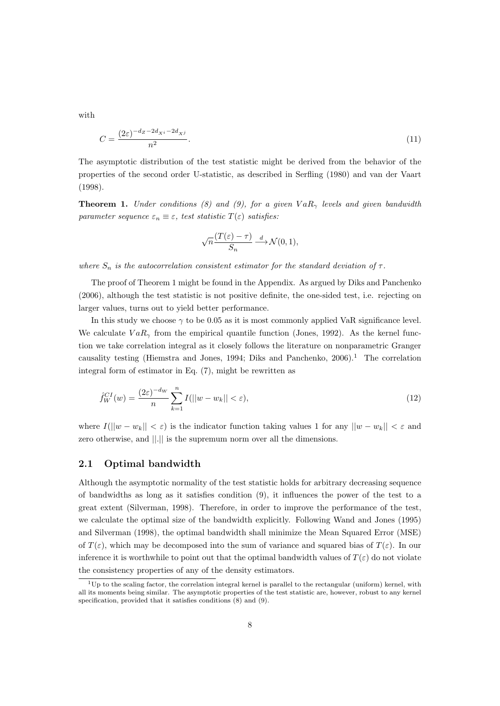with

$$
C = \frac{(2\varepsilon)^{-d_Z - 2d_{X^i} - 2d_{X^j}}}{n^2}.
$$
\n
$$
(11)
$$

The asymptotic distribution of the test statistic might be derived from the behavior of the properties of the second order U-statistic, as described in Serfling (1980) and van der Vaart (1998).

**Theorem 1.** Under conditions (8) and (9), for a given  $VaR_{\gamma}$  levels and given bandwidth parameter sequence  $\varepsilon_n \equiv \varepsilon$ , test statistic  $T(\varepsilon)$  satisfies:

$$
\sqrt{n}\frac{(T(\varepsilon)-\tau)}{S_n}\stackrel{d}{\longrightarrow}\mathcal{N}(0,1),
$$

where  $S_n$  is the autocorrelation consistent estimator for the standard deviation of  $\tau$ .

The proof of Theorem 1 might be found in the Appendix. As argued by Diks and Panchenko (2006), although the test statistic is not positive definite, the one-sided test, i.e. rejecting on larger values, turns out to yield better performance.

In this study we choose  $\gamma$  to be 0.05 as it is most commonly applied VaR significance level. We calculate  $VaR_{\gamma}$  from the empirical quantile function (Jones, 1992). As the kernel function we take correlation integral as it closely follows the literature on nonparametric Granger causality testing (Hiemstra and Jones, 1994; Diks and Panchenko,  $2006$ ).<sup>1</sup> The correlation integral form of estimator in Eq. (7), might be rewritten as

$$
\hat{f}_W^{CI}(w) = \frac{(2\varepsilon)^{-d_W}}{n} \sum_{k=1}^n I(||w - w_k|| < \varepsilon),\tag{12}
$$

where  $I(||w - w_k|| < \varepsilon)$  is the indicator function taking values 1 for any  $||w - w_k|| < \varepsilon$  and zero otherwise, and ||.|| is the supremum norm over all the dimensions.

#### 2.1 Optimal bandwidth

Although the asymptotic normality of the test statistic holds for arbitrary decreasing sequence of bandwidths as long as it satisfies condition (9), it influences the power of the test to a great extent (Silverman, 1998). Therefore, in order to improve the performance of the test, we calculate the optimal size of the bandwidth explicitly. Following Wand and Jones (1995) and Silverman (1998), the optimal bandwidth shall minimize the Mean Squared Error (MSE) of  $T(\varepsilon)$ , which may be decomposed into the sum of variance and squared bias of  $T(\varepsilon)$ . In our inference it is worthwhile to point out that the optimal bandwidth values of  $T(\varepsilon)$  do not violate the consistency properties of any of the density estimators.

 $1_{\rm Up}$  to the scaling factor, the correlation integral kernel is parallel to the rectangular (uniform) kernel, with all its moments being similar. The asymptotic properties of the test statistic are, however, robust to any kernel specification, provided that it satisfies conditions (8) and (9).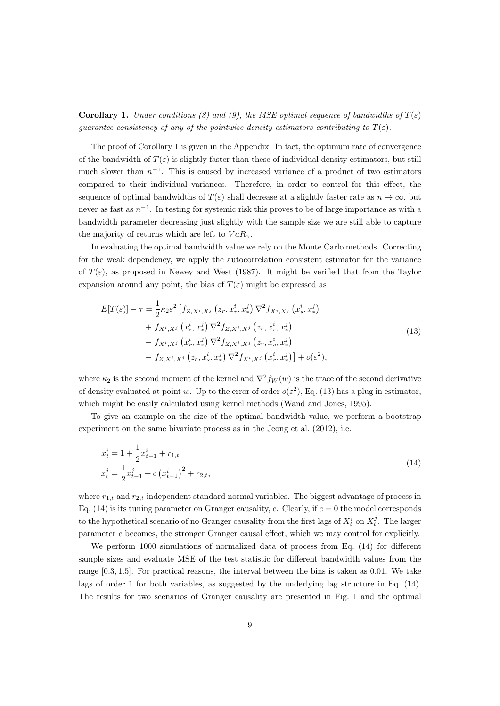**Corollary 1.** Under conditions (8) and (9), the MSE optimal sequence of bandwidths of  $T(\varepsilon)$ guarantee consistency of any of the pointwise density estimators contributing to  $T(\varepsilon)$ .

The proof of Corollary 1 is given in the Appendix. In fact, the optimum rate of convergence of the bandwidth of  $T(\varepsilon)$  is slightly faster than these of individual density estimators, but still much slower than  $n^{-1}$ . This is caused by increased variance of a product of two estimators compared to their individual variances. Therefore, in order to control for this effect, the sequence of optimal bandwidths of  $T(\varepsilon)$  shall decrease at a slightly faster rate as  $n \to \infty$ , but never as fast as  $n^{-1}$ . In testing for systemic risk this proves to be of large importance as with a bandwidth parameter decreasing just slightly with the sample size we are still able to capture the majority of returns which are left to  $VaR_{\gamma}$ .

In evaluating the optimal bandwidth value we rely on the Monte Carlo methods. Correcting for the weak dependency, we apply the autocorrelation consistent estimator for the variance of  $T(\varepsilon)$ , as proposed in Newey and West (1987). It might be verified that from the Taylor expansion around any point, the bias of  $T(\varepsilon)$  might be expressed as

$$
E[T(\varepsilon)] - \tau = \frac{1}{2} \kappa_2 \varepsilon^2 \left[ f_{Z,X^i,X^j} \left( z_r, x_r^i, x_*^j \right) \nabla^2 f_{X^i,X^j} \left( x_s^i, x_*^j \right) \right. \\
\left. + f_{X^i,X^j} \left( x_s^i, x_*^j \right) \nabla^2 f_{Z,X^i,X^j} \left( z_r, x_r^i, x_*^j \right) \\
\left. - f_{X^i,X^j} \left( x_r^i, x_*^j \right) \nabla^2 f_{Z,X^i,X^j} \left( z_r, x_s^i, x_*^j \right) \right. \\
\left. - f_{Z,X^i,X^j} \left( z_r, x_s^i, x_*^j \right) \nabla^2 f_{X^i,X^j} \left( x_r^i, x_*^j \right) \right] + o(\varepsilon^2),
$$
\n(13)

where  $\kappa_2$  is the second moment of the kernel and  $\nabla^2 f_W(w)$  is the trace of the second derivative of density evaluated at point w. Up to the error of order  $o(\varepsilon^2)$ , Eq. (13) has a plug in estimator, which might be easily calculated using kernel methods (Wand and Jones, 1995).

To give an example on the size of the optimal bandwidth value, we perform a bootstrap experiment on the same bivariate process as in the Jeong et al. (2012), i.e.

$$
x_t^i = 1 + \frac{1}{2} x_{t-1}^i + r_{1,t}
$$
  
\n
$$
x_t^j = \frac{1}{2} x_{t-1}^j + c \left( x_{t-1}^i \right)^2 + r_{2,t},
$$
\n(14)

where  $r_{1,t}$  and  $r_{2,t}$  independent standard normal variables. The biggest advantage of process in Eq. (14) is its tuning parameter on Granger causality, c. Clearly, if  $c = 0$  the model corresponds to the hypothetical scenario of no Granger causality from the first lags of  $X_t^i$  on  $X_t^j$ . The larger parameter c becomes, the stronger Granger causal effect, which we may control for explicitly.

We perform 1000 simulations of normalized data of process from Eq. (14) for different sample sizes and evaluate MSE of the test statistic for different bandwidth values from the range [0.3, 1.5]. For practical reasons, the interval between the bins is taken as 0.01. We take lags of order 1 for both variables, as suggested by the underlying lag structure in Eq. (14). The results for two scenarios of Granger causality are presented in Fig. 1 and the optimal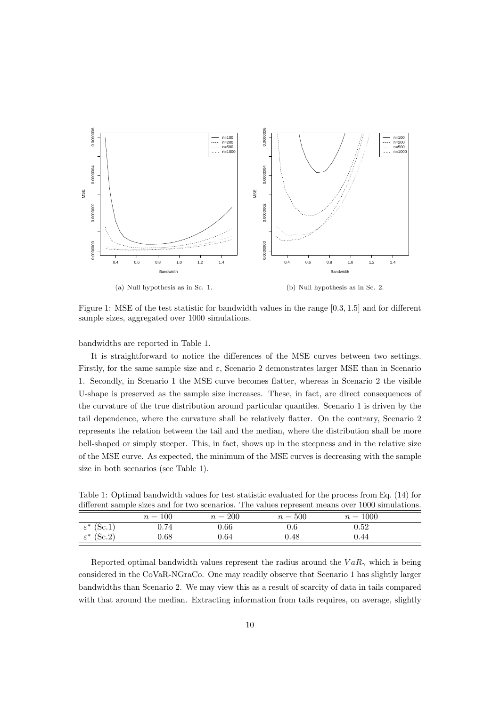

Figure 1: MSE of the test statistic for bandwidth values in the range [0.3, 1.5] and for different sample sizes, aggregated over 1000 simulations.

bandwidths are reported in Table 1.

It is straightforward to notice the differences of the MSE curves between two settings. Firstly, for the same sample size and  $\varepsilon$ , Scenario 2 demonstrates larger MSE than in Scenario 1. Secondly, in Scenario 1 the MSE curve becomes flatter, whereas in Scenario 2 the visible U-shape is preserved as the sample size increases. These, in fact, are direct consequences of the curvature of the true distribution around particular quantiles. Scenario 1 is driven by the tail dependence, where the curvature shall be relatively flatter. On the contrary, Scenario 2 represents the relation between the tail and the median, where the distribution shall be more bell-shaped or simply steeper. This, in fact, shows up in the steepness and in the relative size of the MSE curve. As expected, the minimum of the MSE curves is decreasing with the sample size in both scenarios (see Table 1).

|                        |           |           |           | different sample sizes and for two scenarios. The values represent means over 1000 simulations. |  |
|------------------------|-----------|-----------|-----------|-------------------------------------------------------------------------------------------------|--|
|                        | $n = 100$ | $n = 200$ | $n = 500$ | $n = 1000$                                                                                      |  |
| $\varepsilon^*$ (Sc.1) | 0.74      | 0.66      | 0.6       | 0.52                                                                                            |  |
| $\varepsilon^*$ (Sc.2) | $0.68\,$  | 0.64      | 0.48      | 0.44                                                                                            |  |

Table 1: Optimal bandwidth values for test statistic evaluated for the process from Eq. (14) for

Reported optimal bandwidth values represent the radius around the  $VaR_{\gamma}$  which is being considered in the CoVaR-NGraCo. One may readily observe that Scenario 1 has slightly larger bandwidths than Scenario 2. We may view this as a result of scarcity of data in tails compared with that around the median. Extracting information from tails requires, on average, slightly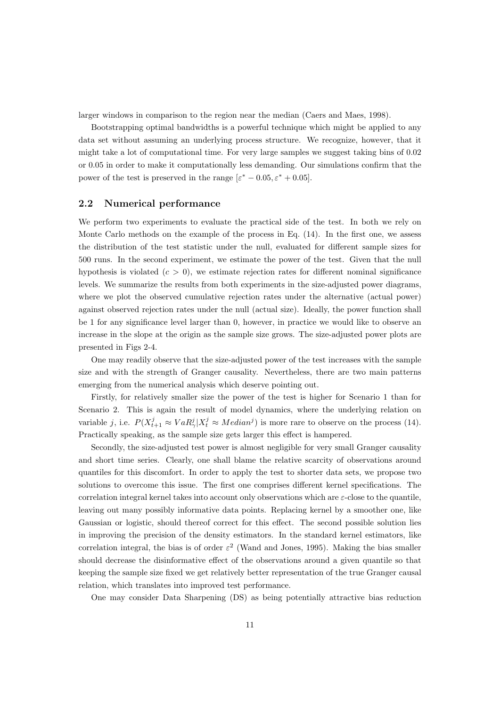larger windows in comparison to the region near the median (Caers and Maes, 1998).

Bootstrapping optimal bandwidths is a powerful technique which might be applied to any data set without assuming an underlying process structure. We recognize, however, that it might take a lot of computational time. For very large samples we suggest taking bins of 0.02 or 0.05 in order to make it computationally less demanding. Our simulations confirm that the power of the test is preserved in the range  $[\varepsilon^* - 0.05, \varepsilon^* + 0.05]$ .

#### 2.2 Numerical performance

We perform two experiments to evaluate the practical side of the test. In both we rely on Monte Carlo methods on the example of the process in Eq. (14). In the first one, we assess the distribution of the test statistic under the null, evaluated for different sample sizes for 500 runs. In the second experiment, we estimate the power of the test. Given that the null hypothesis is violated  $(c > 0)$ , we estimate rejection rates for different nominal significance levels. We summarize the results from both experiments in the size-adjusted power diagrams, where we plot the observed cumulative rejection rates under the alternative (actual power) against observed rejection rates under the null (actual size). Ideally, the power function shall be 1 for any significance level larger than 0, however, in practice we would like to observe an increase in the slope at the origin as the sample size grows. The size-adjusted power plots are presented in Figs 2-4.

One may readily observe that the size-adjusted power of the test increases with the sample size and with the strength of Granger causality. Nevertheless, there are two main patterns emerging from the numerical analysis which deserve pointing out.

Firstly, for relatively smaller size the power of the test is higher for Scenario 1 than for Scenario 2. This is again the result of model dynamics, where the underlying relation on variable j, i.e.  $P(X_{t+1}^j \approx VaR_{\gamma}^j | X_t^j \approx Median^j)$  is more rare to observe on the process (14). Practically speaking, as the sample size gets larger this effect is hampered.

Secondly, the size-adjusted test power is almost negligible for very small Granger causality and short time series. Clearly, one shall blame the relative scarcity of observations around quantiles for this discomfort. In order to apply the test to shorter data sets, we propose two solutions to overcome this issue. The first one comprises different kernel specifications. The correlation integral kernel takes into account only observations which are  $\varepsilon$ -close to the quantile. leaving out many possibly informative data points. Replacing kernel by a smoother one, like Gaussian or logistic, should thereof correct for this effect. The second possible solution lies in improving the precision of the density estimators. In the standard kernel estimators, like correlation integral, the bias is of order  $\varepsilon^2$  (Wand and Jones, 1995). Making the bias smaller should decrease the disinformative effect of the observations around a given quantile so that keeping the sample size fixed we get relatively better representation of the true Granger causal relation, which translates into improved test performance.

One may consider Data Sharpening (DS) as being potentially attractive bias reduction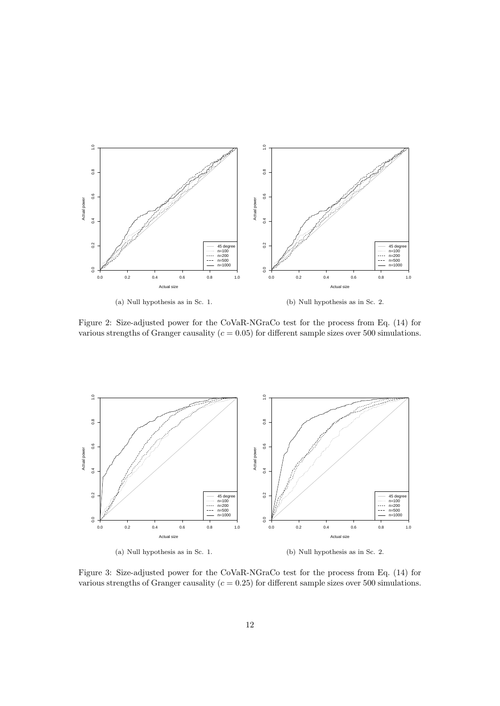

Figure 2: Size-adjusted power for the CoVaR-NGraCo test for the process from Eq. (14) for various strengths of Granger causality ( $c = 0.05$ ) for different sample sizes over 500 simulations.



Figure 3: Size-adjusted power for the CoVaR-NGraCo test for the process from Eq. (14) for various strengths of Granger causality ( $c = 0.25$ ) for different sample sizes over 500 simulations.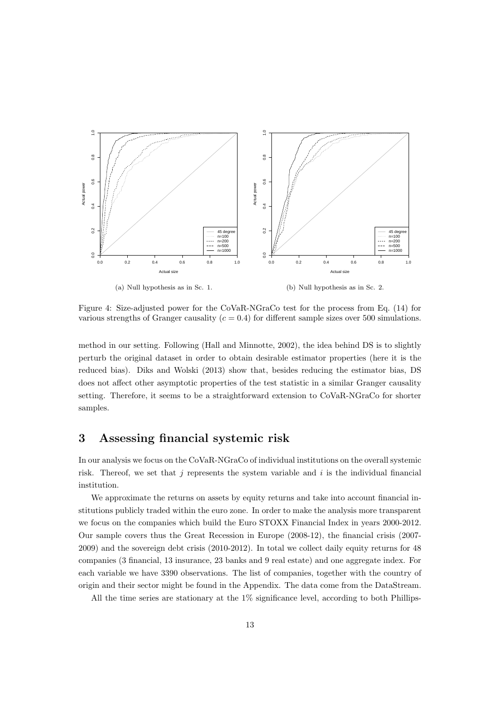

Figure 4: Size-adjusted power for the CoVaR-NGraCo test for the process from Eq. (14) for various strengths of Granger causality ( $c = 0.4$ ) for different sample sizes over 500 simulations.

method in our setting. Following (Hall and Minnotte, 2002), the idea behind DS is to slightly perturb the original dataset in order to obtain desirable estimator properties (here it is the reduced bias). Diks and Wolski (2013) show that, besides reducing the estimator bias, DS does not affect other asymptotic properties of the test statistic in a similar Granger causality setting. Therefore, it seems to be a straightforward extension to CoVaR-NGraCo for shorter samples.

## 3 Assessing financial systemic risk

In our analysis we focus on the CoVaR-NGraCo of individual institutions on the overall systemic risk. Thereof, we set that j represents the system variable and i is the individual financial institution.

We approximate the returns on assets by equity returns and take into account financial institutions publicly traded within the euro zone. In order to make the analysis more transparent we focus on the companies which build the Euro STOXX Financial Index in years 2000-2012. Our sample covers thus the Great Recession in Europe (2008-12), the financial crisis (2007- 2009) and the sovereign debt crisis (2010-2012). In total we collect daily equity returns for 48 companies (3 financial, 13 insurance, 23 banks and 9 real estate) and one aggregate index. For each variable we have 3390 observations. The list of companies, together with the country of origin and their sector might be found in the Appendix. The data come from the DataStream.

All the time series are stationary at the 1% significance level, according to both Phillips-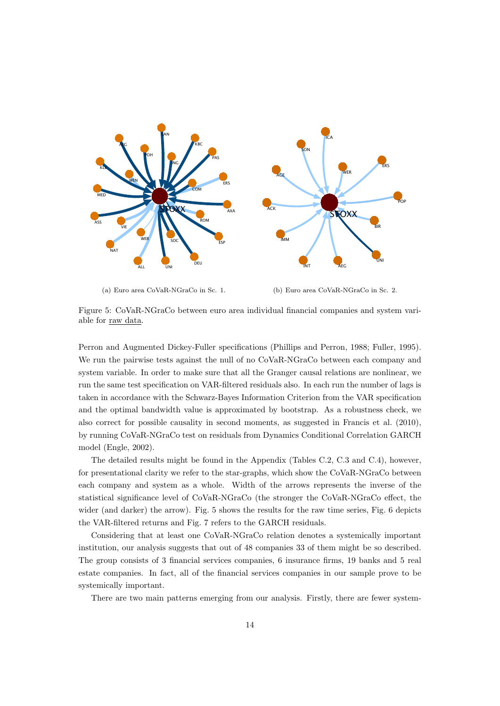

(a) Euro area CoVaR-NGraCo in Sc. 1. (b) Euro area CoVaR-NGraCo in Sc. 2.

Figure 5: CoVaR-NGraCo between euro area individual financial companies and system variable for raw data.

Perron and Augmented Dickey-Fuller specifications (Phillips and Perron, 1988; Fuller, 1995). We run the pairwise tests against the null of no CoVaR-NGraCo between each company and system variable. In order to make sure that all the Granger causal relations are nonlinear, we run the same test specification on VAR-filtered residuals also. In each run the number of lags is taken in accordance with the Schwarz-Bayes Information Criterion from the VAR specification and the optimal bandwidth value is approximated by bootstrap. As a robustness check, we also correct for possible causality in second moments, as suggested in Francis et al. (2010), by running CoVaR-NGraCo test on residuals from Dynamics Conditional Correlation GARCH model (Engle, 2002).

The detailed results might be found in the Appendix (Tables C.2, C.3 and C.4), however, for presentational clarity we refer to the star-graphs, which show the CoVaR-NGraCo between each company and system as a whole. Width of the arrows represents the inverse of the statistical significance level of CoVaR-NGraCo (the stronger the CoVaR-NGraCo effect, the wider (and darker) the arrow). Fig. 5 shows the results for the raw time series, Fig. 6 depicts the VAR-filtered returns and Fig. 7 refers to the GARCH residuals.

Considering that at least one CoVaR-NGraCo relation denotes a systemically important institution, our analysis suggests that out of 48 companies 33 of them might be so described. The group consists of 3 financial services companies, 6 insurance firms, 19 banks and 5 real estate companies. In fact, all of the financial services companies in our sample prove to be systemically important.

There are two main patterns emerging from our analysis. Firstly, there are fewer system-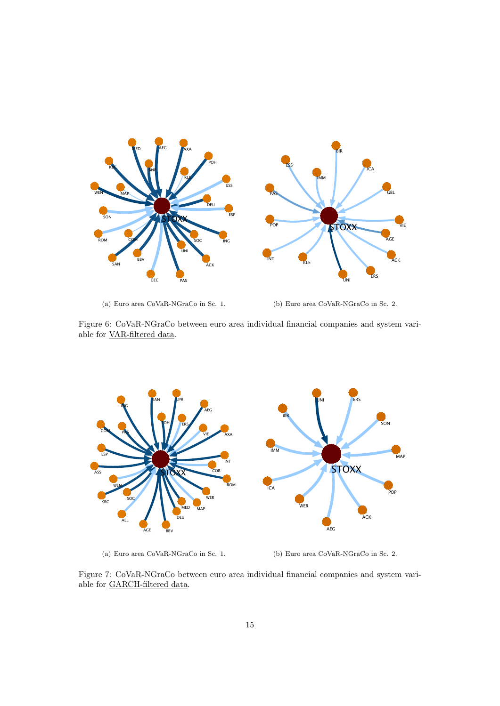

(a) Euro area CoVaR-NGraCo in Sc. 1.

(b) Euro area CoVaR-NGraCo in Sc. 2.

Figure 6: CoVaR-NGraCo between euro area individual financial companies and system variable for VAR-filtered data.



(a) Euro area CoVaR-NGraCo in Sc. 1.

(b) Euro area CoVaR-NGraCo in Sc. 2.

Figure 7: CoVaR-NGraCo between euro area individual financial companies and system variable for GARCH-filtered data.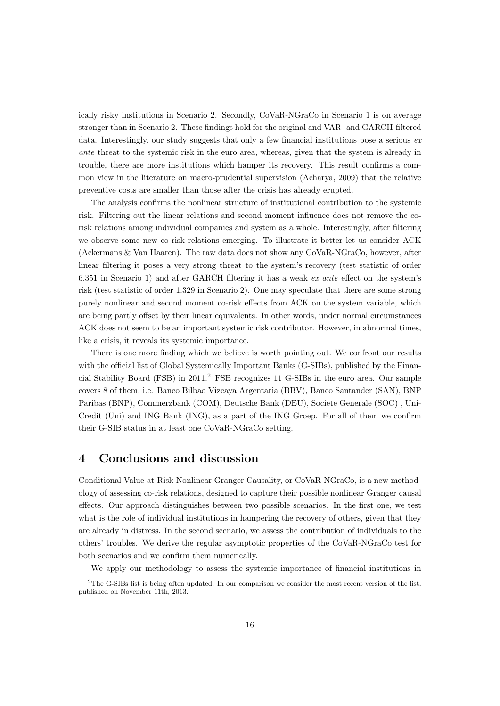ically risky institutions in Scenario 2. Secondly, CoVaR-NGraCo in Scenario 1 is on average stronger than in Scenario 2. These findings hold for the original and VAR- and GARCH-filtered data. Interestingly, our study suggests that only a few financial institutions pose a serious exante threat to the systemic risk in the euro area, whereas, given that the system is already in trouble, there are more institutions which hamper its recovery. This result confirms a common view in the literature on macro-prudential supervision (Acharya, 2009) that the relative preventive costs are smaller than those after the crisis has already erupted.

The analysis confirms the nonlinear structure of institutional contribution to the systemic risk. Filtering out the linear relations and second moment influence does not remove the corisk relations among individual companies and system as a whole. Interestingly, after filtering we observe some new co-risk relations emerging. To illustrate it better let us consider ACK (Ackermans & Van Haaren). The raw data does not show any CoVaR-NGraCo, however, after linear filtering it poses a very strong threat to the system's recovery (test statistic of order 6.351 in Scenario 1) and after GARCH filtering it has a weak ex ante effect on the system's risk (test statistic of order 1.329 in Scenario 2). One may speculate that there are some strong purely nonlinear and second moment co-risk effects from ACK on the system variable, which are being partly offset by their linear equivalents. In other words, under normal circumstances ACK does not seem to be an important systemic risk contributor. However, in abnormal times, like a crisis, it reveals its systemic importance.

There is one more finding which we believe is worth pointing out. We confront our results with the official list of Global Systemically Important Banks (G-SIBs), published by the Financial Stability Board (FSB) in 2011.<sup>2</sup> FSB recognizes 11 G-SIBs in the euro area. Our sample covers 8 of them, i.e. Banco Bilbao Vizcaya Argentaria (BBV), Banco Santander (SAN), BNP Paribas (BNP), Commerzbank (COM), Deutsche Bank (DEU), Societe Generale (SOC) , Uni-Credit (Uni) and ING Bank (ING), as a part of the ING Groep. For all of them we confirm their G-SIB status in at least one CoVaR-NGraCo setting.

### 4 Conclusions and discussion

Conditional Value-at-Risk-Nonlinear Granger Causality, or CoVaR-NGraCo, is a new methodology of assessing co-risk relations, designed to capture their possible nonlinear Granger causal effects. Our approach distinguishes between two possible scenarios. In the first one, we test what is the role of individual institutions in hampering the recovery of others, given that they are already in distress. In the second scenario, we assess the contribution of individuals to the others' troubles. We derive the regular asymptotic properties of the CoVaR-NGraCo test for both scenarios and we confirm them numerically.

We apply our methodology to assess the systemic importance of financial institutions in

<sup>2</sup>The G-SIBs list is being often updated. In our comparison we consider the most recent version of the list, published on November 11th, 2013.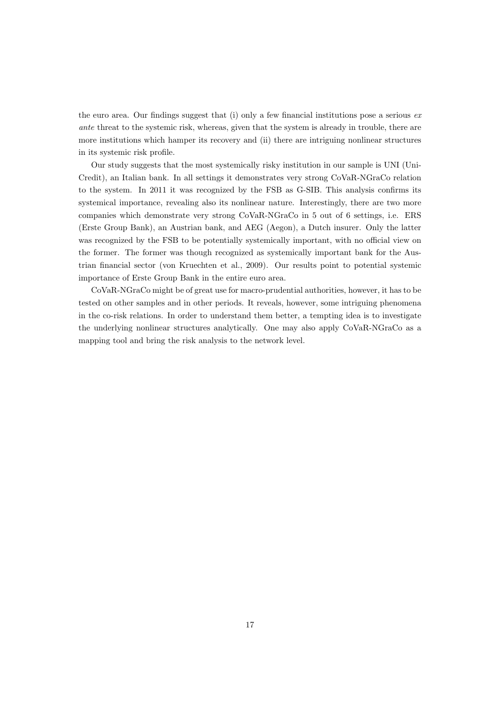the euro area. Our findings suggest that (i) only a few financial institutions pose a serious  $ex$ ante threat to the systemic risk, whereas, given that the system is already in trouble, there are more institutions which hamper its recovery and (ii) there are intriguing nonlinear structures in its systemic risk profile.

Our study suggests that the most systemically risky institution in our sample is UNI (Uni-Credit), an Italian bank. In all settings it demonstrates very strong CoVaR-NGraCo relation to the system. In 2011 it was recognized by the FSB as G-SIB. This analysis confirms its systemical importance, revealing also its nonlinear nature. Interestingly, there are two more companies which demonstrate very strong CoVaR-NGraCo in 5 out of 6 settings, i.e. ERS (Erste Group Bank), an Austrian bank, and AEG (Aegon), a Dutch insurer. Only the latter was recognized by the FSB to be potentially systemically important, with no official view on the former. The former was though recognized as systemically important bank for the Austrian financial sector (von Kruechten et al., 2009). Our results point to potential systemic importance of Erste Group Bank in the entire euro area.

CoVaR-NGraCo might be of great use for macro-prudential authorities, however, it has to be tested on other samples and in other periods. It reveals, however, some intriguing phenomena in the co-risk relations. In order to understand them better, a tempting idea is to investigate the underlying nonlinear structures analytically. One may also apply CoVaR-NGraCo as a mapping tool and bring the risk analysis to the network level.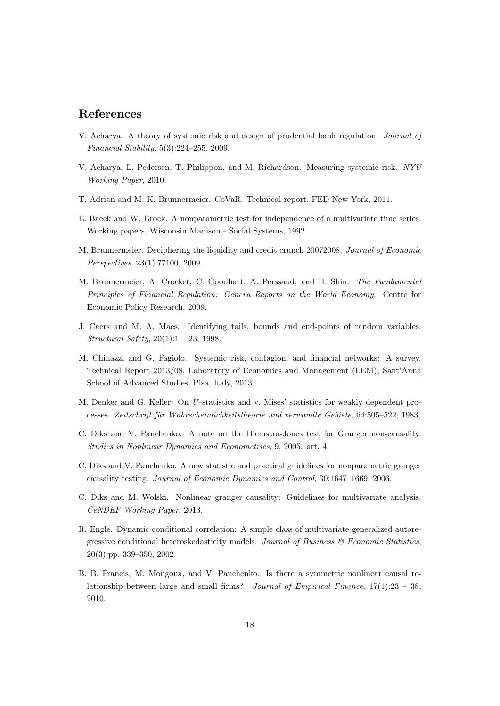### References

- V. Acharya. A theory of systemic risk and design of prudential bank regulation. Journal of Financial Stability, 5(3):224–255, 2009.
- V. Acharya, L. Pedersen, T. Philippon, and M. Richardson. Measuring systemic risk. NYU Working Paper, 2010.
- T. Adrian and M. K. Brunnermeier. CoVaR. Technical report, FED New York, 2011.
- E. Baeck and W. Brock. A nonparametric test for independence of a multivariate time series. Working papers, Wisconsin Madison - Social Systems, 1992.
- M. Brunnermeier. Deciphering the liquidity and credit crunch 20072008. Journal of Economic Perspectives, 23(1):77100, 2009.
- M. Brunnermeier, A. Crocket, C. Goodhart, A. Perssaud, and H. Shin. The Fundamental Principles of Financial Regulation: Geneva Reports on the World Economy. Centre for Economic Policy Research, 2009.
- J. Caers and M. A. Maes. Identifying tails, bounds and end-points of random variables. Structural Safety, 20(1):1 – 23, 1998.
- M. Chinazzi and G. Fagiolo. Systemic risk, contagion, and financial networks: A survey. Technical Report 2013/08, Laboratory of Economics and Management (LEM), Sant'Anna School of Advanced Studies, Pisa, Italy, 2013.
- M. Denker and G. Keller. On U-statistics and v. Mises' statistics for weakly dependent processes. Zeitschrift für Wahrscheinlichkeitstheorie und verwandte Gebiete, 64:505–522, 1983.
- C. Diks and V. Panchenko. A note on the Hiemstra-Jones test for Granger non-causality. Studies in Nonlinear Dynamics and Econometrics, 9, 2005. art. 4.
- C. Diks and V. Panchenko. A new statistic and practical guidelines for nonparametric granger causality testing. Journal of Economic Dynamics and Control, 30:1647–1669, 2006.
- C. Diks and M. Wolski. Nonlinear granger causality: Guidelines for multivariate analysis. CeNDEF Working Paper, 2013.
- R. Engle. Dynamic conditional correlation: A simple class of multivariate generalized autoregressive conditional heteroskedasticity models. Journal of Business  $\mathcal C$  Economic Statistics, 20(3):pp. 339–350, 2002.
- B. B. Francis, M. Mougoua, and V. Panchenko. Is there a symmetric nonlinear causal relationship between large and small firms? Journal of Empirical Finance,  $17(1):23 - 38$ , 2010.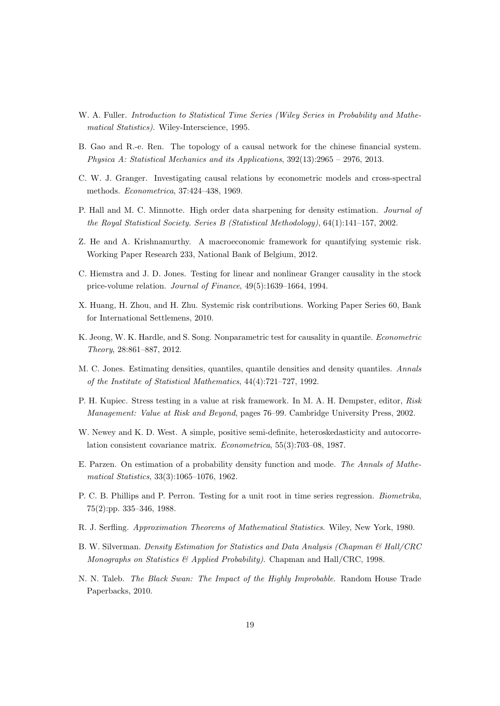- W. A. Fuller. Introduction to Statistical Time Series (Wiley Series in Probability and Mathematical Statistics). Wiley-Interscience, 1995.
- B. Gao and R.-e. Ren. The topology of a causal network for the chinese financial system. Physica A: Statistical Mechanics and its Applications, 392(13):2965 – 2976, 2013.
- C. W. J. Granger. Investigating causal relations by econometric models and cross-spectral methods. Econometrica, 37:424–438, 1969.
- P. Hall and M. C. Minnotte. High order data sharpening for density estimation. Journal of the Royal Statistical Society. Series B (Statistical Methodology), 64(1):141–157, 2002.
- Z. He and A. Krishnamurthy. A macroeconomic framework for quantifying systemic risk. Working Paper Research 233, National Bank of Belgium, 2012.
- C. Hiemstra and J. D. Jones. Testing for linear and nonlinear Granger causality in the stock price-volume relation. Journal of Finance, 49(5):1639–1664, 1994.
- X. Huang, H. Zhou, and H. Zhu. Systemic risk contributions. Working Paper Series 60, Bank for International Settlemens, 2010.
- K. Jeong, W. K. Hardle, and S. Song. Nonparametric test for causality in quantile. Econometric Theory, 28:861–887, 2012.
- M. C. Jones. Estimating densities, quantiles, quantile densities and density quantiles. Annals of the Institute of Statistical Mathematics, 44(4):721–727, 1992.
- P. H. Kupiec. Stress testing in a value at risk framework. In M. A. H. Dempster, editor, Risk Management: Value at Risk and Beyond, pages 76–99. Cambridge University Press, 2002.
- W. Newey and K. D. West. A simple, positive semi-definite, heteroskedasticity and autocorrelation consistent covariance matrix. Econometrica, 55(3):703–08, 1987.
- E. Parzen. On estimation of a probability density function and mode. The Annals of Mathematical Statistics, 33(3):1065–1076, 1962.
- P. C. B. Phillips and P. Perron. Testing for a unit root in time series regression. Biometrika, 75(2):pp. 335–346, 1988.
- R. J. Serfling. Approximation Theorems of Mathematical Statistics. Wiley, New York, 1980.
- B. W. Silverman. Density Estimation for Statistics and Data Analysis (Chapman & Hall/CRC Monographs on Statistics & Applied Probability). Chapman and Hall/CRC, 1998.
- N. N. Taleb. The Black Swan: The Impact of the Highly Improbable. Random House Trade Paperbacks, 2010.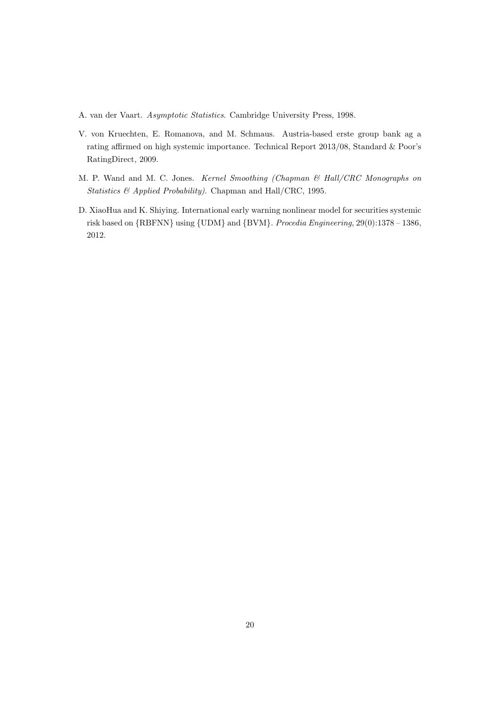A. van der Vaart. Asymptotic Statistics. Cambridge University Press, 1998.

- V. von Kruechten, E. Romanova, and M. Schmaus. Austria-based erste group bank ag a rating affirmed on high systemic importance. Technical Report 2013/08, Standard & Poor's RatingDirect, 2009.
- M. P. Wand and M. C. Jones. Kernel Smoothing (Chapman & Hall/CRC Monographs on Statistics & Applied Probability). Chapman and Hall/CRC, 1995.
- D. XiaoHua and K. Shiying. International early warning nonlinear model for securities systemic risk based on {RBFNN} using {UDM} and {BVM}. Procedia Engineering, 29(0):1378 – 1386, 2012.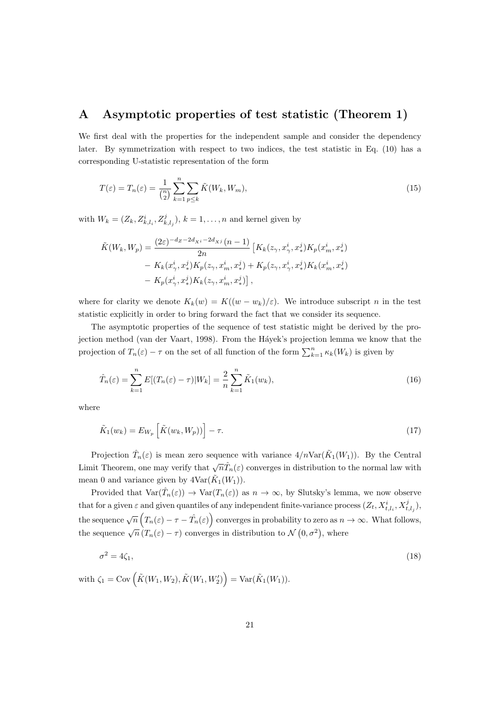## A Asymptotic properties of test statistic (Theorem 1)

We first deal with the properties for the independent sample and consider the dependency later. By symmetrization with respect to two indices, the test statistic in Eq. (10) has a corresponding U-statistic representation of the form

$$
T(\varepsilon) = T_n(\varepsilon) = \frac{1}{\binom{n}{2}} \sum_{k=1}^n \sum_{p \le k} \tilde{K}(W_k, W_m), \tag{15}
$$

with  $W_k = (Z_k, Z^i_{k,l_i}, Z^j_{k,l_j}), k = 1, \ldots, n$  and kernel given by

$$
\tilde{K}(W_k, W_p) = \frac{(2\varepsilon)^{-d_Z - 2d_{Xi} - 2d_{Xi}(n-1)}}{2n} \left[ K_k(z_\gamma, x_\gamma^i, x_*^j) K_p(x_m^i, x_*^j) - K_k(x_\gamma^i, x_*^j) K_p(z_\gamma, x_m^i, x_*^j) + K_p(z_\gamma, x_\gamma^i, x_*^j) K_k(x_m^i, x_*^j) - K_p(x_\gamma^i, x_*^j) K_k(z_\gamma, x_m^i, x_*^j) \right],
$$

where for clarity we denote  $K_k(w) = K((w - w_k)/\varepsilon)$ . We introduce subscript n in the test statistic explicitly in order to bring forward the fact that we consider its sequence.

The asymptotic properties of the sequence of test statistic might be derived by the projection method (van der Vaart, 1998). From the Háyek's projection lemma we know that the projection of  $T_n(\varepsilon) - \tau$  on the set of all function of the form  $\sum_{k=1}^n \kappa_k(W_k)$  is given by

$$
\hat{T}_n(\varepsilon) = \sum_{k=1}^n E[(T_n(\varepsilon) - \tau)|W_k] = \frac{2}{n} \sum_{k=1}^n \tilde{K}_1(w_k),\tag{16}
$$

where

$$
\tilde{K}_1(w_k) = E_{W_p} \left[ \tilde{K}(w_k, W_p) \right] - \tau.
$$
\n(17)

Projection  $\hat{T}_n(\varepsilon)$  is mean zero sequence with variance  $4/n \text{Var}(\tilde{K}_1(W_1))$ . By the Central Limit Theorem, one may verify that  $\sqrt{n}\hat{T}_n(\varepsilon)$  converges in distribution to the normal law with mean 0 and variance given by  $4\text{Var}(\tilde{K}_1(W_1)).$ 

Provided that  $\text{Var}(\hat{T}_n(\varepsilon)) \to \text{Var}(T_n(\varepsilon))$  as  $n \to \infty$ , by Slutsky's lemma, we now observe that for a given  $\varepsilon$  and given quantiles of any independent finite-variance process  $(Z_t, X_{t,l_i}^i, X_{t,l_j}^j)$ , the sequence  $\sqrt{n}\left(T_n(\varepsilon)-\tau-\hat{T}_n(\varepsilon)\right)$  converges in probability to zero as  $n\to\infty$ . What follows, the sequence  $\sqrt{n} (T_n(\varepsilon) - \tau)$  converges in distribution to  $\mathcal{N}(0, \sigma^2)$ , where

$$
\sigma^2 = 4\zeta_1,\tag{18}
$$

with  $\zeta_1 = \text{Cov}(\tilde{K}(W_1, W_2), \tilde{K}(W_1, W_2')) = \text{Var}(\tilde{K}_1(W_1)).$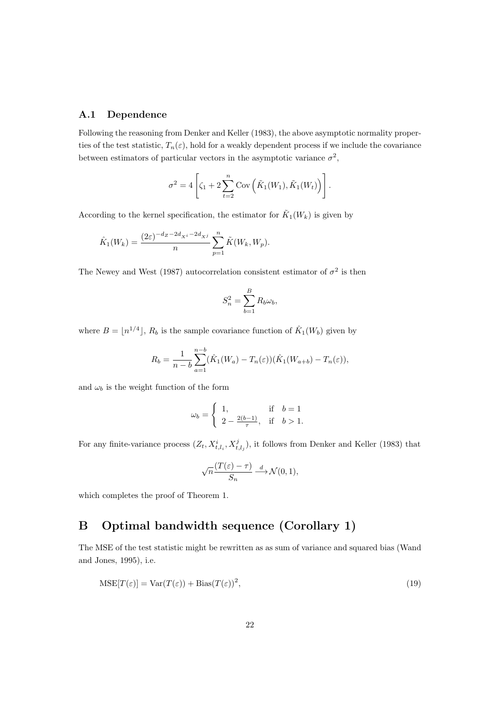#### A.1 Dependence

Following the reasoning from Denker and Keller (1983), the above asymptotic normality properties of the test statistic,  $T_n(\varepsilon)$ , hold for a weakly dependent process if we include the covariance between estimators of particular vectors in the asymptotic variance  $\sigma^2$ ,

$$
\sigma^2 = 4 \left[ \zeta_1 + 2 \sum_{t=2}^n \mathrm{Cov}\left( \tilde{K}_1(W_1), \tilde{K}_1(W_t) \right) \right].
$$

According to the kernel specification, the estimator for  $\tilde{K}_1(W_k)$  is given by

$$
\hat{K}_1(W_k) = \frac{(2\varepsilon)^{-d_Z - 2d_{X^i} - 2d_{X^j}}}{n} \sum_{p=1}^n \tilde{K}(W_k, W_p).
$$

The Newey and West (1987) autocorrelation consistent estimator of  $\sigma^2$  is then

$$
S_n^2 = \sum_{b=1}^B R_b \omega_b,
$$

where  $B = \lfloor n^{1/4} \rfloor$ ,  $R_b$  is the sample covariance function of  $\hat{K}_1(W_b)$  given by

$$
R_b = \frac{1}{n-b} \sum_{a=1}^{n-b} (\hat{K}_1(W_a) - T_n(\varepsilon)) (\hat{K}_1(W_{a+b}) - T_n(\varepsilon)),
$$

and  $\omega_b$  is the weight function of the form

$$
\omega_b = \begin{cases}\n1, & \text{if } b = 1 \\
2 - \frac{2(b-1)}{\tau}, & \text{if } b > 1.\n\end{cases}
$$

For any finite-variance process  $(Z_t, X_{t,l_i}^i, X_{t,l_j}^j)$ , it follows from Denker and Keller (1983) that

$$
\sqrt{n}\frac{(T(\varepsilon)-\tau)}{S_n} \xrightarrow{d} \mathcal{N}(0,1),
$$

which completes the proof of Theorem 1.

# B Optimal bandwidth sequence (Corollary 1)

The MSE of the test statistic might be rewritten as as sum of variance and squared bias (Wand and Jones, 1995), i.e.

$$
\text{MSE}[T(\varepsilon)] = \text{Var}(T(\varepsilon)) + \text{Bias}(T(\varepsilon))^2,\tag{19}
$$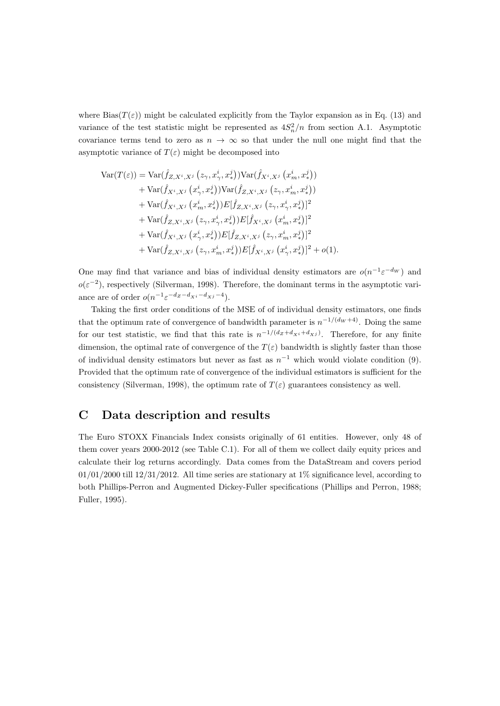where  $Bias(T(\varepsilon))$  might be calculated explicitly from the Taylor expansion as in Eq. (13) and variance of the test statistic might be represented as  $4S_n^2/n$  from section A.1. Asymptotic covariance terms tend to zero as  $n \to \infty$  so that under the null one might find that the asymptotic variance of  $T(\varepsilon)$  might be decomposed into

$$
\begin{split} \text{Var}(T(\varepsilon)) &= \text{Var}(\hat{f}_{Z,X^i,X^j}\left(z_\gamma,x^i_\gamma,x^j_\ast\right))\text{Var}(\hat{f}_{X^i,X^j}\left(x^i_m,x^j_\ast\right)) \\ &+ \text{Var}(\hat{f}_{X^i,X^j}\left(x^i_\gamma,x^j_\ast\right))\text{Var}(\hat{f}_{Z,X^i,X^j}\left(z_\gamma,x^i_m,x^j_\ast\right)) \\ &+ \text{Var}(\hat{f}_{X^i,X^j}\left(x^i_m,x^j_\ast\right))E[\hat{f}_{Z,X^i,X^j}\left(z_\gamma,x^i_\gamma,x^j_\ast)\right]^2 \\ &+ \text{Var}(\hat{f}_{Z,X^i,X^j}\left(z_\gamma,x^i_\gamma,x^j_\ast\right))E[\hat{f}_{X^i,X^j}\left(x^i_m,x^j_\ast\right)]^2 \\ &+ \text{Var}(\hat{f}_{X^i,X^j}\left(x^i_\gamma,x^j_\ast\right))E[\hat{f}_{Z,X^i,X^j}\left(z_\gamma,x^i_m,x^j_\ast\right)]^2 \\ &+ \text{Var}(\hat{f}_{Z,X^i,X^j}\left(z_\gamma,x^i_m,x^j_\ast\right))E[\hat{f}_{X^i,X^j}\left(x^i_\gamma,x^j_\ast\right)]^2 + o(1). \end{split}
$$

One may find that variance and bias of individual density estimators are  $o(n^{-1} \varepsilon^{-dw})$  and  $o(\varepsilon^{-2})$ , respectively (Silverman, 1998). Therefore, the dominant terms in the asymptotic variance are of order  $o(n^{-1} \varepsilon^{-d} z^{-d} x^{i-d} x^{j-4}).$ 

Taking the first order conditions of the MSE of of individual density estimators, one finds that the optimum rate of convergence of bandwidth parameter is  $n^{-1/(dw+4)}$ . Doing the same for our test statistic, we find that this rate is  $n^{-1/(dz+d_{xi}+d_{xi})}$ . Therefore, for any finite dimension, the optimal rate of convergence of the  $T(\varepsilon)$  bandwidth is slightly faster than those of individual density estimators but never as fast as  $n^{-1}$  which would violate condition (9). Provided that the optimum rate of convergence of the individual estimators is sufficient for the consistency (Silverman, 1998), the optimum rate of  $T(\varepsilon)$  guarantees consistency as well.

## C Data description and results

The Euro STOXX Financials Index consists originally of 61 entities. However, only 48 of them cover years 2000-2012 (see Table C.1). For all of them we collect daily equity prices and calculate their log returns accordingly. Data comes from the DataStream and covers period  $01/01/2000$  till  $12/31/2012$ . All time series are stationary at  $1\%$  significance level, according to both Phillips-Perron and Augmented Dickey-Fuller specifications (Phillips and Perron, 1988; Fuller, 1995).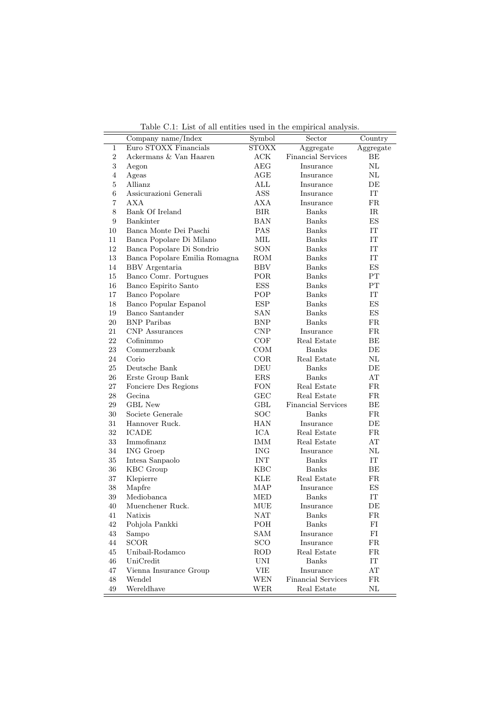| Table C.1: List of all entities used in the empirical analysis. |  |
|-----------------------------------------------------------------|--|
|-----------------------------------------------------------------|--|

|                | Company name/Index            | Symbol                  | $\operatorname{Sector}$   | Country     |
|----------------|-------------------------------|-------------------------|---------------------------|-------------|
| 1              | Euro STOXX Financials         | <b>STOXX</b>            | Aggregate                 | Aggregate   |
| $\overline{2}$ | Ackermans & Van Haaren        | ACK                     | <b>Financial Services</b> | ΒE          |
| 3              | Aegon                         | AEG                     | Insurance                 | $\rm NL$    |
| $\overline{4}$ | Ageas                         | AGE                     | Insurance                 | $\rm NL$    |
| 5              | Allianz                       | $\mathop{\mathrm{ALL}}$ | Insurance                 | DЕ          |
| 6              | Assicurazioni Generali        | ASS                     | Insurance                 | IT          |
| $\overline{7}$ | AXA                           | AXA                     | Insurance                 | FR          |
| 8              | Bank Of Ireland               | <b>BIR</b>              | <b>Banks</b>              | $_{\rm IR}$ |
| 9              | Bankinter                     | <b>BAN</b>              | Banks                     | ES          |
| 10             | Banca Monte Dei Paschi        | <b>PAS</b>              | <b>Banks</b>              | IT          |
| 11             | Banca Popolare Di Milano      | MIL                     | <b>Banks</b>              | IT          |
| 12             | Banca Popolare Di Sondrio     | <b>SON</b>              | <b>Banks</b>              | IT          |
| 13             | Banca Popolare Emilia Romagna | ROM                     | Banks                     | IT          |
| 14             | BBV Argentaria                | <b>BBV</b>              | <b>Banks</b>              | ES          |
| 15             | Banco Comr. Portugues         | POR                     | Banks                     | $\rm PT$    |
| 16             | Banco Espirito Santo          | <b>ESS</b>              | Banks                     | PT          |
| 17             | <b>Banco Popolare</b>         | POP                     | Banks                     | IT          |
| 18             | Banco Popular Espanol         | ESP                     | Banks                     | ES          |
| 19             | Banco Santander               | SAN                     | <b>Banks</b>              | ES          |
| 20             | <b>BNP</b> Paribas            | <b>BNP</b>              | <b>Banks</b>              | FR          |
| 21             | <b>CNP</b> Assurances         | CNP                     | Insurance                 | FR.         |
| 22             | Cofinimmo                     | COF                     | Real Estate               | ВE          |
| 23             | Commerzbank                   | COM                     | <b>Banks</b>              | DE          |
| 24             | Corio                         | COR                     | Real Estate               | $\rm NL$    |
| 25             | Deutsche Bank                 | DEU                     | <b>Banks</b>              | DE          |
| 26             | Erste Group Bank              | ERS                     | Banks                     | AT          |
| 27             | Fonciere Des Regions          | <b>FON</b>              | Real Estate               | FR          |
| 28             | Gecina                        | <b>GEC</b>              | Real Estate               | FR.         |
| 29             | <b>GBL</b> New                | GBL                     | <b>Financial Services</b> | BE          |
| $30\,$         | Societe Generale              | <b>SOC</b>              | Banks                     | FR          |
| 31             | Hannover Ruck.                | <b>HAN</b>              | Insurance                 | DE          |
| 32             | <b>ICADE</b>                  | ICA                     | Real Estate               | FR          |
| 33             | Immofinanz                    | <b>IMM</b>              | Real Estate               | AT          |
| 34             | ING Groep                     | <b>ING</b>              | Insurance                 | $\rm NL$    |
| 35             | Intesa Sanpaolo               | <b>INT</b>              | Banks                     | IT          |
| 36             | KBC Group                     | KBC                     | <b>Banks</b>              | BE          |
| 37             | Klepierre                     | <b>KLE</b>              | Real Estate               | FR.         |
| 38             | Mapfre                        | MAP                     | Insurance                 | ES          |
| $39\,$         | Mediobanca                    | <b>MED</b>              | <b>Banks</b>              | IT          |
| 40             | Muenchener Ruck.              | MUE                     | Insurance                 | DE          |
| 41             | Natixis                       | NAT                     | <b>Banks</b>              | FR          |
| 42             | Pohjola Pankki                | POH                     | <b>Banks</b>              | $_{\rm FI}$ |
| 43             | Sampo                         | SAM                     | Insurance                 | FI          |
| 44             | <b>SCOR</b>                   | <b>SCO</b>              | Insurance                 | FR          |
| 45             | Unibail-Rodamco               | ROD                     | Real Estate               | $_{\rm FR}$ |
| 46             | UniCredit                     | UNI                     | <b>Banks</b>              | IT          |
| 47             | Vienna Insurance Group        | VIE                     | Insurance                 | AT          |
| 48             | Wendel                        | WEN                     | <b>Financial Services</b> | FR          |
| 49             | Wereldhave                    | WER                     | Real Estate               | $\rm NL$    |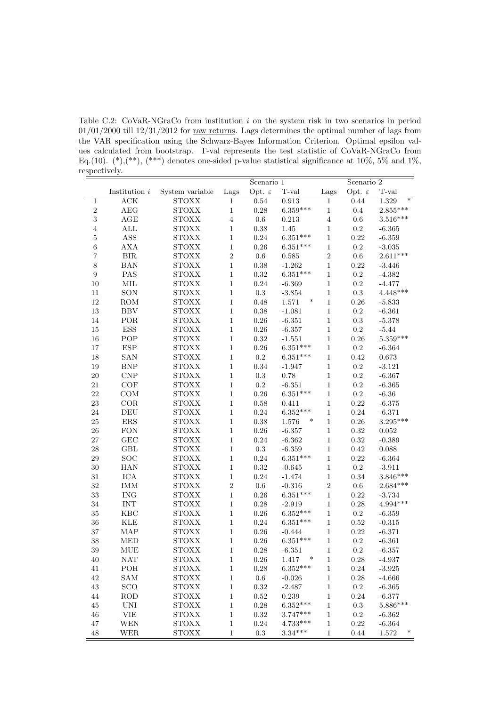Table C.2: CoVaR-NGraCo from institution  $i$  on the system risk in two scenarios in period  $01/01/2000$  till  $12/31/2012$  for raw returns. Lags determines the optimal number of lags from the VAR specification using the Schwarz-Bayes Information Criterion. Optimal epsilon values calculated from bootstrap. T-val represents the test statistic of CoVaR-NGraCo from Eq.(10).  $(*),(**)$ ,  $(**)$  denotes one-sided p-value statistical significance at 10%, 5% and 1%, respectively.

|                  |                         |                        | Scenario 1     |                    | Scenario 2                          |              |                    |                 |
|------------------|-------------------------|------------------------|----------------|--------------------|-------------------------------------|--------------|--------------------|-----------------|
|                  | Institution $i$         | System variable        | Lags           | Opt. $\varepsilon$ | $_{\mathrm{T}\text{-}\mathrm{val}}$ | Lags         | Opt. $\varepsilon$ | T-val           |
| 1                | $\overline{\text{ACK}}$ | <b>STOXX</b>           | $\mathbf{1}$   | 0.54               | 0.913                               | $\mathbf{1}$ | 0.44               | $\ast$<br>1.329 |
| $\sqrt{2}$       | $\rm{A}\rm{E}\rm{G}$    | $\mbox{STOX} \mbox{X}$ | $\,1$          | 0.28               | $6.359***$                          | $\,1$        | 0.4                | $2.855***$      |
| $\sqrt{3}$       | $\rm AGE$               | <b>STOXX</b>           | $\sqrt{4}$     | $0.6\,$            | 0.213                               | $\,4\,$      | 0.6                | $3.516***$      |
| $\,4\,$          | $\mbox{ALL}$            | <b>STOXX</b>           | $\mathbf{1}$   | $0.38\,$           | 1.45                                | $\mathbf{1}$ | $\rm 0.2$          | $-6.365$        |
| $\overline{5}$   | ASS                     | <b>STOXX</b>           | $\,1\,$        | 0.24               | $6.351***$                          | $\,1\,$      | 0.22               | $-6.359$        |
| $\sqrt{6}$       | AXA                     | $\mbox{STOX} \mbox{X}$ | $1\,$          | 0.26               | $6.351***$                          | $\mathbf{1}$ | $\rm 0.2$          | $-3.035$        |
| $\overline{7}$   | ${\rm BIR}$             | $\mbox{STOX} \mbox{X}$ | $\overline{2}$ | $0.6\,$            | 0.585                               | $\sqrt{2}$   | $0.6\,$            | $2.611***$      |
| 8                | <b>BAN</b>              | $\mbox{STOX} \mbox{X}$ | $\,1$          | $0.38\,$           | $-1.262$                            | $\,1$        | $\rm 0.22$         | $-3.446$        |
| $\boldsymbol{9}$ | PAS                     | <b>STOXX</b>           | $\mathbf{1}$   | $\rm 0.32$         | $6.351***$                          | $\mathbf{1}$ | $\rm 0.2$          | $-4.382$        |
| $10\,$           | MIL                     | <b>STOXX</b>           | $\,1\,$        | 0.24               | $-6.369$                            | $\mathbf{1}$ | $\rm 0.2$          | $-4.477$        |
| 11               | SON                     | <b>STOXX</b>           | $\,1\,$        | $\rm 0.3$          | $-3.854$                            | $\,1$        | $\rm 0.3$          | $4.448***$      |
| 12               | <b>ROM</b>              | $\mbox{STOX} \mbox{X}$ | $1\,$          | 0.48               | $\ast$<br>1.571                     | $\mathbf{1}$ | 0.26               | $-5.833$        |
| 13               | <b>BBV</b>              | $\mbox{STOX} \mbox{X}$ | $\,1$          | $0.38\,$           | $-1.081$                            | $\,1$        | $\rm 0.2$          | $-6.361$        |
| 14               | POR                     | $\mbox{STOX} \mbox{X}$ | $\,1$          | $0.26\,$           | $-6.351$                            | $\,1$        | $\rm 0.3$          | $-5.378$        |
| 15               | ESS                     | <b>STOXX</b>           | $\mathbf{1}$   | $0.26\,$           | $-6.357$                            | $\mathbf{1}$ | $\rm 0.2$          | $-5.44$         |
| 16               | POP                     | <b>STOXX</b>           | $\,1\,$        | 0.32               | $-1.551$                            | $\mathbf{1}$ | 0.26               | $5.359***$      |
| $17\,$           | <b>ESP</b>              | <b>STOXX</b>           | $\,1$          | $0.26\,$           | $6.351***$                          | $\,1\,$      | $\rm 0.2$          | $-6.364$        |
| 18               | <b>SAN</b>              | <b>STOXX</b>           | $\mathbf{1}$   | $\rm 0.2$          | $6.351***$                          | $\mathbf{1}$ | 0.42               | 0.673           |
| 19               | BNP                     | $\mbox{STOX} \mbox{X}$ | $\,1$          | 0.34               | $-1.947$                            | $\,1$        | $\rm 0.2$          | $-3.121$        |
| 20               | CNP                     | <b>STOXX</b>           | $\mathbf{1}$   | $\rm 0.3$          | 0.78                                | $\mathbf{1}$ | $\rm 0.2$          | $-6.367$        |
| $21\,$           | $\mathrm{COF}$          | <b>STOXX</b>           | $\mathbf{1}$   | $\rm 0.2$          | $-6.351$                            | $\mathbf{1}$ | $\rm 0.2$          | $-6.365$        |
| $\sqrt{22}$      | COM                     | <b>STOXX</b>           | $\,1$          | 0.26               | $6.351***$                          | $\,1\,$      | $\rm 0.2$          | $-6.36$         |
| $\sqrt{23}$      | COR                     | <b>STOXX</b>           | $\,1$          | $0.58\,$           | 0.411                               | $\,1$        | 0.22               | $-6.375$        |
| 24               | $\operatorname{DEU}$    | $\mbox{STOX} \mbox{X}$ | $\mathbf 1$    | $0.24\,$           | $6.352***$                          | $\mathbf{1}$ | 0.24               | $-6.371$        |
| $25\,$           | ${\rm ERS}$             | $\mbox{STOX} \mbox{X}$ | $\,1$          | $0.38\,$           | $1.576\,$<br>$\ast$                 | $\,1$        | 0.26               | $3.295***$      |
| 26               | <b>FON</b>              | <b>STOXX</b>           | $\mathbf{1}$   | $0.26\,$           | $-6.357$                            | $\,1$        | $\rm 0.32$         | $\,0.052\,$     |
| 27               | GEC                     | <b>STOXX</b>           | $1\,$          | $0.24\,$           | $-6.362$                            | $\mathbf{1}$ | $\rm 0.32$         | $-0.389$        |
| 28               | GBL                     | <b>STOXX</b>           | $\,1\,$        | $\rm 0.3$          | $-6.359$                            | $\,1$        | $\rm 0.42$         | 0.088           |
| 29               | SOC                     | $\mbox{STOX} \mbox{X}$ | $1\,$          | $0.24\,$           | $6.351***$                          | $\mathbf{1}$ | 0.22               | $-6.364$        |
| 30               | <b>HAN</b>              | $\mbox{STOX} \mbox{X}$ | $\mathbf{1}$   | 0.32               | $-0.645$                            | $\,1$        | $\rm 0.2$          | $-3.911$        |
| 31               | ICA                     | $\mbox{STOX} \mbox{X}$ | $\,1$          | $\rm 0.24$         | $-1.474$                            | $\,1$        | $\rm 0.34$         | $3.846***$      |
| 32               | <b>IMM</b>              | <b>STOXX</b>           | $\sqrt{2}$     | $0.6\,$            | $-0.316$                            | $\,2$        | $0.6\,$            | $2.684***$      |
| 33               | <b>ING</b>              | <b>STOXX</b>           | $1\,$          | $0.26\,$           | $6.351***$                          | $\mathbf{1}$ | 0.22               | $-3.734$        |
| 34               | <b>INT</b>              | <b>STOXX</b>           | $\,1\,$        | 0.28               | $-2.919$                            | $\,1$        | 0.28               | $4.994***$      |
| $35\,$           | KBC                     | $\mbox{STOX} \mbox{X}$ | $1\,$          | $0.26\,$           | $6.352***$                          | $\mathbf{1}$ | $\rm 0.2$          | $-6.359$        |
| 36               | <b>KLE</b>              | $\mbox{STOX} \mbox{X}$ | $\mathbf 1$    | $\rm 0.24$         | $6.351***$                          | $\,1$        | $0.52\,$           | $-0.315$        |
| 37               | MAP                     | <b>STOXX</b>           | $\,1\,$        | $0.26\,$           | $-0.444$                            | $\,1$        | $\rm 0.22$         | $-6.371$        |
| 38               | <b>MED</b>              | <b>STOXX</b>           | $\mathbf{1}$   | $0.26\,$           | $6.351***$                          | $\,1\,$      | 0.2                | $-6.361$        |
| 39               | MUE                     | <b>STOXX</b>           | $\mathbf{1}$   | 0.28               | $-6.351$                            | $\mathbf{1}$ | $\rm 0.2$          | $-6.357$        |
| 40               | <b>NAT</b>              | <b>STOXX</b>           | $\mathbf{1}$   | 0.26               | $\ast$<br>1.417                     | $\mathbf{1}$ | 0.28               | $-4.937$        |
| $41\,$           | POH                     | <b>STOXX</b>           | 1              | 0.28               | $6.352***$                          | $\mathbf{1}$ | 0.24               | $-3.925$        |
| $42\,$           | SAM                     | <b>STOXX</b>           | $\mathbf{1}$   | $0.6\,$            | $-0.026$                            | $\mathbf{1}$ | 0.28               | $-4.666$        |
| $43\,$           | SCO                     | <b>STOXX</b>           | $\mathbf{1}$   | 0.32               | $-2.487$                            | $\mathbf{1}$ | $\rm 0.2$          | $-6.365$        |
| 44               | $\rm{ROD}$              | <b>STOXX</b>           | $\mathbf{1}$   | 0.52               | 0.239                               | $\mathbf{1}$ | 0.24               | $-6.377$        |
| $45\,$           | <b>UNI</b>              | <b>STOXX</b>           | $\,1\,$        | 0.28               | $6.352***$                          | $\mathbf{1}$ | 0.3                | $5.886***$      |
| 46               | <b>VIE</b>              | <b>STOXX</b>           | $1\,$          | $\rm 0.32$         | $3.747***$                          | $\mathbf{1}$ | $\rm 0.2$          | $-6.362$        |
| 47               | WEN                     | <b>STOXX</b>           | $\mathbf{1}$   | 0.24               | $4.733***$                          | $\mathbf{1}$ | 0.22               | $-6.364$        |
| 48               | WER                     | <b>STOXX</b>           | $\,1$          | 0.3                | $3.34***$                           | $\,1$        | $0.44\,$           | $\ast$<br>1.572 |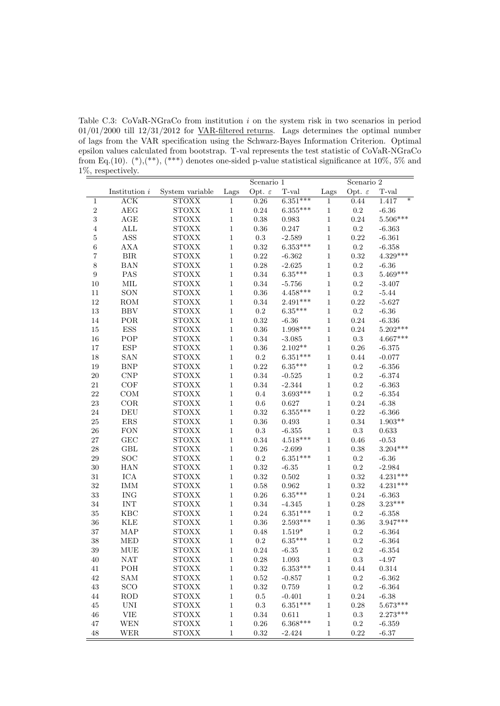Table C.3: CoVaR-NGraCo from institution  $i$  on the system risk in two scenarios in period  $01/01/2000$  till  $12/31/2012$  for VAR-filtered returns. Lags determines the optimal number of lags from the VAR specification using the Schwarz-Bayes Information Criterion. Optimal epsilon values calculated from bootstrap. T-val represents the test statistic of CoVaR-NGraCo from Eq.(10).  $(*),(**)$ ,  $(**)$  denotes one-sided p-value statistical significance at 10%, 5% and 1%, respectively.

|                  |                           |                        | Scenario 1   |                    | Scenario $2$ |              |                    |                            |
|------------------|---------------------------|------------------------|--------------|--------------------|--------------|--------------|--------------------|----------------------------|
|                  | Institution $i$           | System variable        | Lags         | Opt. $\varepsilon$ | T-val        | Lags         | Opt. $\varepsilon$ | T-val                      |
| $\mathbf{1}$     | $\overline{\text{ACK}}$   | <b>STOXX</b>           | $\mathbf{1}$ | 0.26               | $6.351***$   | $\mathbf{1}$ | 0.44               | $\overline{\ast}$<br>1.417 |
| $\sqrt{2}$       | AEG                       | <b>STOXX</b>           | $\,1$        | $\rm 0.24$         | $6.355***$   | $\,1$        | $\rm 0.2$          | $-6.36$                    |
| 3                | AGE                       | <b>STOXX</b>           | $\mathbf{1}$ | $0.38\,$           | 0.983        | $\mathbf 1$  | $\rm 0.24$         | $5.506***$                 |
| $\,4\,$          | ALL                       | <b>STOXX</b>           | $\mathbf{1}$ | $0.36\,$           | 0.247        | $\,1$        | $\rm 0.2$          | $-6.363$                   |
| $\overline{5}$   | ASS                       | <b>STOXX</b>           | $\,1$        | $\rm 0.3$          | $-2.589$     | $\,1$        | 0.22               | $-6.361$                   |
| $\overline{6}$   | <b>AXA</b>                | <b>STOXX</b>           | $\mathbf{1}$ | $\rm 0.32$         | $6.353***$   | $\,1\,$      | $\rm 0.2$          | $-6.358$                   |
| $\overline{7}$   | ${\rm BIR}$               | <b>STOXX</b>           | $\mathbf{1}$ | $\rm 0.22$         | $-6.362$     | $\,1$        | $\rm 0.32$         | $4.329***$                 |
| 8                | <b>BAN</b>                | <b>STOXX</b>           | $\mathbf{1}$ | $0.28\,$           | $-2.625$     | $\mathbf 1$  | $\rm 0.2$          | $-6.36$                    |
| $\boldsymbol{9}$ | PAS                       | <b>STOXX</b>           | $\mathbf{1}$ | $0.34\,$           | $6.35***$    | $\,1\,$      | $\rm 0.3$          | $5.469***$                 |
| 10               | $\mbox{MIL}$              | <b>STOXX</b>           | $\mathbf{1}$ | $0.34\,$           | $-5.756$     | $\,1$        | $\rm 0.2$          | $-3.407$                   |
| 11               | SON                       | <b>STOXX</b>           | $\mathbf{1}$ | $\rm 0.36$         | $4.458***$   | $\,1$        | $\rm 0.2$          | $-5.44$                    |
| 12               | ROM                       | <b>STOXX</b>           | $\mathbf{1}$ | $0.34\,$           | $2.491***$   | $\,1$        | 0.22               | $-5.627$                   |
| 13               | <b>BBV</b>                | <b>STOXX</b>           | $\mathbf{1}$ | $\rm 0.2$          | $6.35***$    | $\mathbf 1$  | $\rm 0.2$          | $-6.36$                    |
| 14               | POR                       | <b>STOXX</b>           | $\mathbf{1}$ | $\rm 0.32$         | $-6.36$      | $\mathbf 1$  | $0.24\,$           | $-6.336$                   |
| 15               | ESS                       | <b>STOXX</b>           | $\mathbf{1}$ | $\rm 0.36$         | $1.998***$   | $\,1\,$      | 0.24               | $5.202***$                 |
| 16               | POP                       | <b>STOXX</b>           | $\mathbf{1}$ | $\rm 0.34$         | $-3.085$     | $\,1$        | $\rm 0.3$          | $4.667***$                 |
| 17               | $_{\rm ESP}$              | <b>STOXX</b>           | $\,1$        | $\rm 0.36$         | $2.102^{**}$ | $\mathbf{1}$ | $0.26\,$           | $-6.375$                   |
| 18               | <b>SAN</b>                | <b>STOXX</b>           | $\mathbf{1}$ | $\rm 0.2$          | $6.351***$   | $\,1\,$      | 0.44               | $-0.077$                   |
| 19               | ${\rm BNP}$               | $\mbox{STOX} \mbox{X}$ | $\mathbf{1}$ | $\rm 0.22$         | $6.35***$    | $\,1$        | $\rm 0.2$          | $-6.356$                   |
| 20               | CNP                       | <b>STOXX</b>           | $\mathbf{1}$ | $0.34\,$           | $-0.525$     | $\,1\,$      | $\rm 0.2$          | $-6.374$                   |
| 21               | COF                       | <b>STOXX</b>           | $\mathbf{1}$ | $\rm 0.34$         | $-2.344$     | $\,1$        | $\rm 0.2$          | $-6.363$                   |
| 22               | COM                       | <b>STOXX</b>           | $\mathbf{1}$ | 0.4                | $3.693***$   | $\,1$        | $\rm 0.2$          | $-6.354$                   |
| 23               | $_{\rm COR}$              | <b>STOXX</b>           | $\,1$        | $0.6\,$            | 0.627        | $\mathbf 1$  | $0.24\,$           | $-6.38$                    |
| 24               | $\operatorname{DEU}$      | <b>STOXX</b>           | $\mathbf{1}$ | $\rm 0.32$         | $6.355***$   | $\,1$        | $0.22\,$           | $-6.366$                   |
| 25               | ${\rm ERS}$               | <b>STOXX</b>           | $\mathbf{1}$ | $\rm 0.36$         | 0.493        | $\mathbf 1$  | $0.34\,$           | $1.903**$                  |
| 26               | <b>FON</b>                | <b>STOXX</b>           | $\mathbf{1}$ | $\rm 0.3$          | $-6.355$     | $\mathbf 1$  | $\rm 0.3$          | 0.633                      |
| 27               | GEC                       | <b>STOXX</b>           | $\mathbf{1}$ | $\rm 0.34$         | $4.518***$   | $\mathbf 1$  | 0.46               | $-0.53$                    |
| 28               | GBL                       | <b>STOXX</b>           | $\mathbf{1}$ | $\rm 0.26$         | $-2.699$     | $\,1$        | 0.38               | $3.204***$                 |
| 29               | SOC                       | <b>STOXX</b>           | $\mathbf{1}$ | $\rm 0.2$          | $6.351***$   | $\,1\,$      | $\rm 0.2$          | $-6.36$                    |
| 30               | <b>HAN</b>                | <b>STOXX</b>           | $\mathbf{1}$ | $\rm 0.32$         | $-6.35$      | $\mathbf 1$  | $\rm 0.2$          | $-2.984$                   |
| 31               | ICA                       | <b>STOXX</b>           | $\mathbf{1}$ | $\rm 0.32$         | 0.502        | $\,1$        | 0.32               | $4.231***$                 |
| 32               | <b>IMM</b>                | <b>STOXX</b>           | $\mathbf{1}$ | 0.58               | 0.962        | $\mathbf{1}$ | 0.32               | $4.231***$                 |
| 33               | $\rm{ING}$                | <b>STOXX</b>           | $\mathbf{1}$ | $0.26\,$           | $6.35***$    | $\,1$        | $0.24\,$           | $-6.363$                   |
| 34               | <b>INT</b>                | <b>STOXX</b>           | $\mathbf{1}$ | $0.34\,$           | $-4.345$     | $\mathbf 1$  | 0.28               | $3.23***$                  |
| 35               | <b>KBC</b>                | <b>STOXX</b>           | $\mathbf{1}$ | $\rm 0.24$         | $6.351***$   | $\mathbf{1}$ | $\rm 0.2$          | $-6.358$                   |
| 36               | <b>KLE</b>                | <b>STOXX</b>           | $\mathbf{1}$ | $0.36\,$           | $2.593***$   | $\mathbf 1$  | $0.36\,$           | $3.947***$                 |
| 37               | MAP                       | <b>STOXX</b>           | $\mathbf{1}$ | 0.48               | $1.519*$     | $\mathbf 1$  | $\rm 0.2$          | $-6.364$                   |
| 38               | <b>MED</b>                | <b>STOXX</b>           | $\mathbf{1}$ | $\rm 0.2$          | $6.35***$    | $\,1$        | $\rm 0.2$          | $-6.364$                   |
| 39               | <b>MUE</b>                | <b>STOXX</b>           | $\mathbf{1}$ | 0.24               | $-6.35$      | $\mathbf{1}$ | $0.2\,$            | $-6.354$                   |
| 40               | <b>NAT</b>                | <b>STOXX</b>           | $\,1$        | 0.28               | 1.093        | $\,1$        | $\rm 0.3$          | $-4.97$                    |
| 41               | POH                       | <b>STOXX</b>           | $\mathbf{1}$ | $\rm 0.32$         | $6.353***$   | $\,1$        | 0.44               | 0.314                      |
| $42\,$           | SAM                       | <b>STOXX</b>           | $\mathbf{1}$ | $\rm 0.52$         | $-0.857$     | $\mathbf{1}$ | 0.2                | $-6.362$                   |
| $43\,$           | SCO                       | <b>STOXX</b>           | $\mathbf{1}$ | 0.32               | 0.759        | $\mathbf{1}$ | $\rm 0.2$          | $-6.364$                   |
| 44               | ROD                       | <b>STOXX</b>           | $\mathbf{1}$ | $0.5\,$            | $-0.401$     | $\mathbf{1}$ | 0.24               | $-6.38$                    |
| 45               | <b>UNI</b>                | <b>STOXX</b>           | $\mathbf{1}$ | $\rm 0.3$          | $6.351***$   | $\,1$        | 0.28               | $5.673***$                 |
| 46               | $\ensuremath{\text{VIE}}$ | <b>STOXX</b>           | $\mathbf{1}$ | $0.34\,$           | 0.611        | $\mathbf 1$  | $\rm 0.3$          | $2.273***$                 |
| 47               | WEN                       | <b>STOXX</b>           | $\mathbf{1}$ | $0.26\,$           | $6.368***$   | $\,1$        | $0.2\,$            | $-6.359$                   |
| 48               | WER                       | <b>STOXX</b>           | $\,1$        | $\rm 0.32$         | $-2.424$     | $\,1$        | 0.22               | $-6.37$                    |